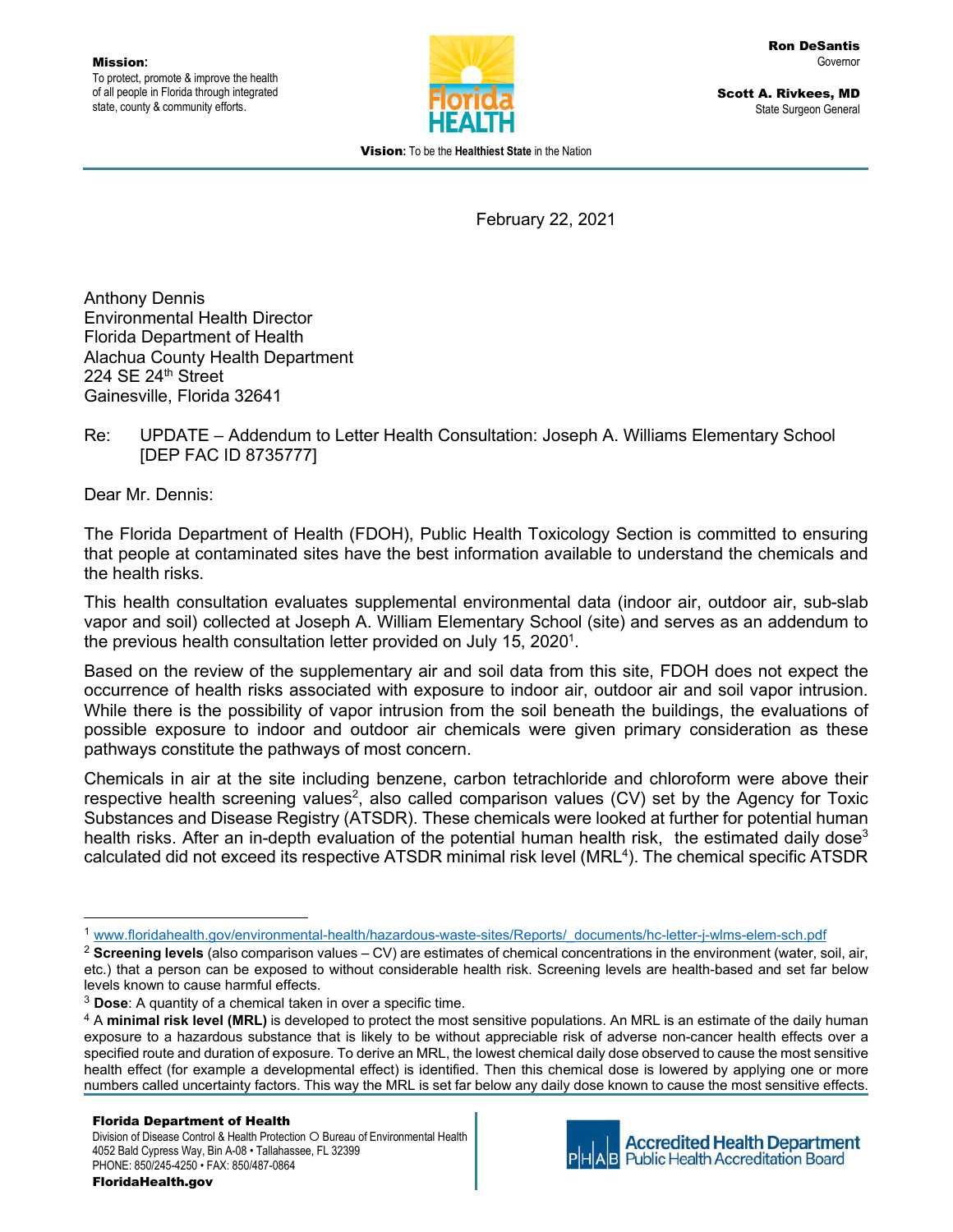

Scott A. Rivkees, MD State Surgeon General

Vision**:** To be the **Healthiest State** in the Nation

February 22, 2021

Anthony Dennis Environmental Health Director Florida Department of Health Alachua County Health Department 224 SE 24th Street Gainesville, Florida 32641

#### Re: UPDATE – Addendum to Letter Health Consultation: Joseph A. Williams Elementary School [DEP FAC ID 8735777]

Dear Mr. Dennis:

The Florida Department of Health (FDOH), Public Health Toxicology Section is committed to ensuring that people at contaminated sites have the best information available to understand the chemicals and the health risks.

This health consultation evaluates supplemental environmental data (indoor air, outdoor air, sub-slab vapor and soil) collected at Joseph A. William Elementary School (site) and serves as an addendum to the previous health consultation letter provided on July 15, 2020<sup>1</sup>.

Based on the review of the supplementary air and soil data from this site, FDOH does not expect the occurrence of health risks associated with exposure to indoor air, outdoor air and soil vapor intrusion. While there is the possibility of vapor intrusion from the soil beneath the buildings, the evaluations of possible exposure to indoor and outdoor air chemicals were given primary consideration as these pathways constitute the pathways of most concern.

Chemicals in air at the site including benzene, carbon tetrachloride and chloroform were above their respective health screening values<sup>2</sup>, also called comparison values (CV) set by the Agency for Toxic Substances and Disease Registry (ATSDR). These chemicals were looked at further for potential human health risks. After an in-depth evaluation of the potential human health risk, the estimated daily dose<sup>3</sup> calculated did not exceed its respective ATSDR minimal risk level (MRL<sup>4</sup>). The chemical specific ATSDR



**Accredited Health Department Public Health Accreditation Board** 

<sup>1</sup> www.floridahealth.gov/environmental-health/hazardous-waste-sites/Reports/\_documents/hc-letter-j-wlms-elem-sch.pdf

<sup>2</sup> **Screening levels** (also comparison values – CV) are estimates of chemical concentrations in the environment (water, soil, air, etc.) that a person can be exposed to without considerable health risk. Screening levels are health-based and set far below levels known to cause harmful effects.

<sup>3</sup> **Dose**: A quantity of a chemical taken in over a specific time.

<sup>4</sup> A **minimal risk level (MRL)** is developed to protect the most sensitive populations. An MRL is an estimate of the daily human exposure to a hazardous substance that is likely to be without appreciable risk of adverse non-cancer health effects over a specified route and duration of exposure. To derive an MRL, the lowest chemical daily dose observed to cause the most sensitive health effect (for example a developmental effect) is identified. Then this chemical dose is lowered by applying one or more numbers called uncertainty factors. This way the MRL is set far below any daily dose known to cause the most sensitive effects.

Division of Disease Control & Health Protection O Bureau of Environmental Health 4052 Bald Cypress Way, Bin A-08 • Tallahassee, FL 32399 PHONE: 850/245-4250 • FAX: 850/487-0864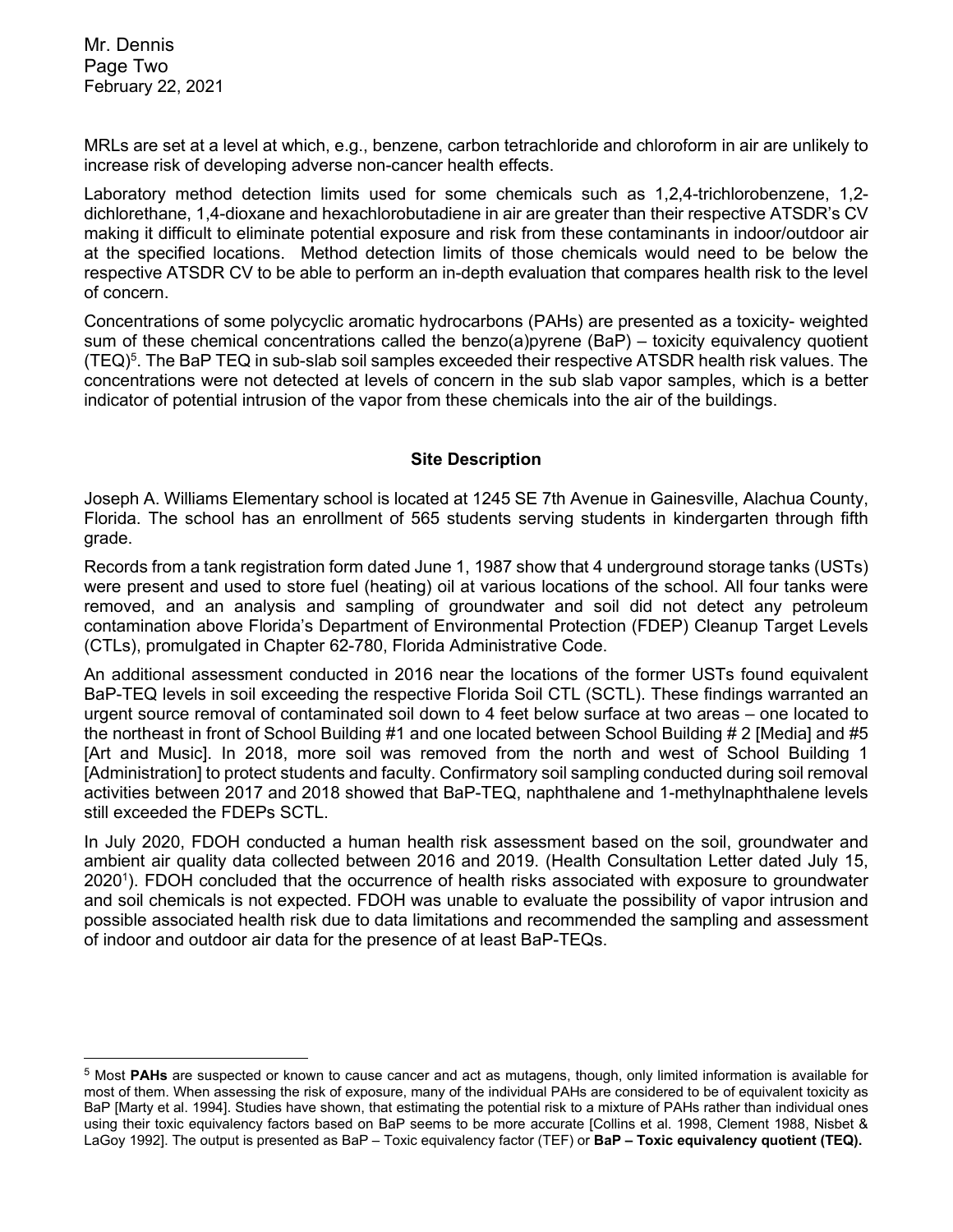Mr. Dennis Page Two February 22, 2021

MRLs are set at a level at which, e.g., benzene, carbon tetrachloride and chloroform in air are unlikely to increase risk of developing adverse non-cancer health effects.

Laboratory method detection limits used for some chemicals such as 1,2,4-trichlorobenzene, 1,2 dichlorethane, 1,4-dioxane and hexachlorobutadiene in air are greater than their respective ATSDR's CV making it difficult to eliminate potential exposure and risk from these contaminants in indoor/outdoor air at the specified locations. Method detection limits of those chemicals would need to be below the respective ATSDR CV to be able to perform an in-depth evaluation that compares health risk to the level of concern.

Concentrations of some polycyclic aromatic hydrocarbons (PAHs) are presented as a toxicity- weighted sum of these chemical concentrations called the benzo(a)pyrene (BaP) – toxicity equivalency quotient (TEQ)<sup>5</sup>. The BaP TEQ in sub-slab soil samples exceeded their respective ATSDR health risk values. The concentrations were not detected at levels of concern in the sub slab vapor samples, which is a better indicator of potential intrusion of the vapor from these chemicals into the air of the buildings.

#### **Site Description**

Joseph A. Williams Elementary school is located at 1245 SE 7th Avenue in Gainesville, Alachua County, Florida. The school has an enrollment of 565 students serving students in kindergarten through fifth grade.

Records from a tank registration form dated June 1, 1987 show that 4 underground storage tanks (USTs) were present and used to store fuel (heating) oil at various locations of the school. All four tanks were removed, and an analysis and sampling of groundwater and soil did not detect any petroleum contamination above Florida's Department of Environmental Protection (FDEP) Cleanup Target Levels (CTLs), promulgated in Chapter 62-780, Florida Administrative Code.

An additional assessment conducted in 2016 near the locations of the former USTs found equivalent BaP-TEQ levels in soil exceeding the respective Florida Soil CTL (SCTL). These findings warranted an urgent source removal of contaminated soil down to 4 feet below surface at two areas – one located to the northeast in front of School Building #1 and one located between School Building # 2 [Media] and #5 [Art and Music]. In 2018, more soil was removed from the north and west of School Building 1 [Administration] to protect students and faculty. Confirmatory soil sampling conducted during soil removal activities between 2017 and 2018 showed that BaP-TEQ, naphthalene and 1-methylnaphthalene levels still exceeded the FDEPs SCTL.

In July 2020, FDOH conducted a human health risk assessment based on the soil, groundwater and ambient air quality data collected between 2016 and 2019. (Health Consultation Letter dated July 15, 20201 ). FDOH concluded that the occurrence of health risks associated with exposure to groundwater and soil chemicals is not expected. FDOH was unable to evaluate the possibility of vapor intrusion and possible associated health risk due to data limitations and recommended the sampling and assessment of indoor and outdoor air data for the presence of at least BaP-TEQs.

<sup>5</sup> Most **PAHs** are suspected or known to cause cancer and act as mutagens, though, only limited information is available for most of them. When assessing the risk of exposure, many of the individual PAHs are considered to be of equivalent toxicity as BaP [Marty et al. 1994]. Studies have shown, that estimating the potential risk to a mixture of PAHs rather than individual ones using their toxic equivalency factors based on BaP seems to be more accurate [Collins et al. 1998, Clement 1988, Nisbet & LaGoy 1992]. The output is presented as BaP – Toxic equivalency factor (TEF) or **BaP – Toxic equivalency quotient (TEQ).**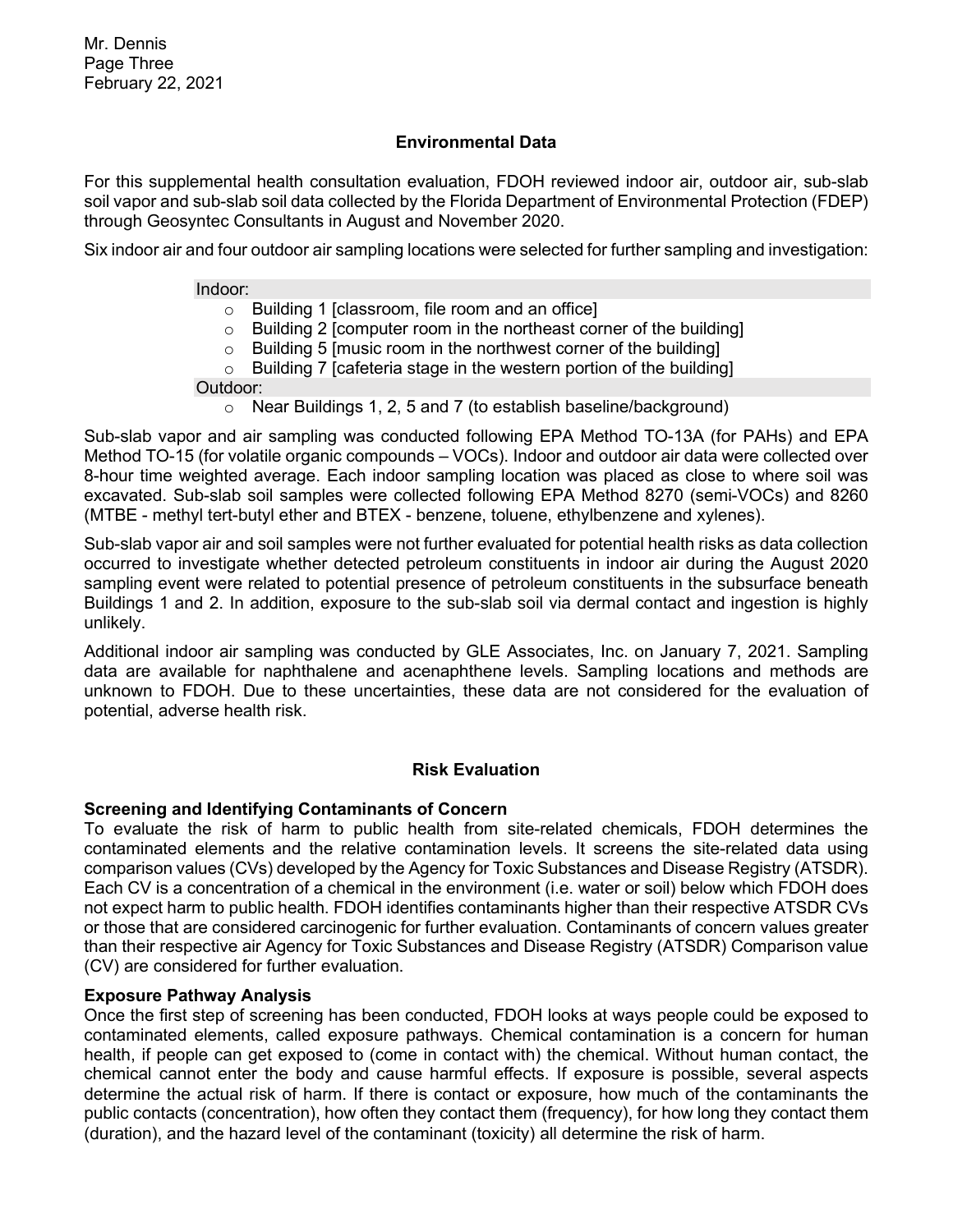#### **Environmental Data**

For this supplemental health consultation evaluation, FDOH reviewed indoor air, outdoor air, sub-slab soil vapor and sub-slab soil data collected by the Florida Department of Environmental Protection (FDEP) through Geosyntec Consultants in August and November 2020.

Six indoor air and four outdoor air sampling locations were selected for further sampling and investigation:

#### Indoor:

- o Building 1 [classroom, file room and an office]
- $\circ$  Building 2 [computer room in the northeast corner of the building]
- $\circ$  Building 5 [music room in the northwest corner of the building]
- $\circ$  Building 7 [cafeteria stage in the western portion of the building]

Outdoor:

o Near Buildings 1, 2, 5 and 7 (to establish baseline/background)

Sub-slab vapor and air sampling was conducted following EPA Method TO-13A (for PAHs) and EPA Method TO-15 (for volatile organic compounds – VOCs). Indoor and outdoor air data were collected over 8-hour time weighted average. Each indoor sampling location was placed as close to where soil was excavated. Sub-slab soil samples were collected following EPA Method 8270 (semi-VOCs) and 8260 (MTBE - methyl tert-butyl ether and BTEX - benzene, toluene, ethylbenzene and xylenes).

Sub-slab vapor air and soil samples were not further evaluated for potential health risks as data collection occurred to investigate whether detected petroleum constituents in indoor air during the August 2020 sampling event were related to potential presence of petroleum constituents in the subsurface beneath Buildings 1 and 2. In addition, exposure to the sub-slab soil via dermal contact and ingestion is highly unlikely.

Additional indoor air sampling was conducted by GLE Associates, Inc. on January 7, 2021. Sampling data are available for naphthalene and acenaphthene levels. Sampling locations and methods are unknown to FDOH. Due to these uncertainties, these data are not considered for the evaluation of potential, adverse health risk.

#### **Risk Evaluation**

#### **Screening and Identifying Contaminants of Concern**

To evaluate the risk of harm to public health from site-related chemicals, FDOH determines the contaminated elements and the relative contamination levels. It screens the site-related data using comparison values (CVs) developed by the Agency for Toxic Substances and Disease Registry (ATSDR). Each CV is a concentration of a chemical in the environment (i.e. water or soil) below which FDOH does not expect harm to public health. FDOH identifies contaminants higher than their respective ATSDR CVs or those that are considered carcinogenic for further evaluation. Contaminants of concern values greater than their respective air Agency for Toxic Substances and Disease Registry (ATSDR) Comparison value (CV) are considered for further evaluation.

#### **Exposure Pathway Analysis**

Once the first step of screening has been conducted, FDOH looks at ways people could be exposed to contaminated elements, called exposure pathways. Chemical contamination is a concern for human health, if people can get exposed to (come in contact with) the chemical. Without human contact, the chemical cannot enter the body and cause harmful effects. If exposure is possible, several aspects determine the actual risk of harm. If there is contact or exposure, how much of the contaminants the public contacts (concentration), how often they contact them (frequency), for how long they contact them (duration), and the hazard level of the contaminant (toxicity) all determine the risk of harm.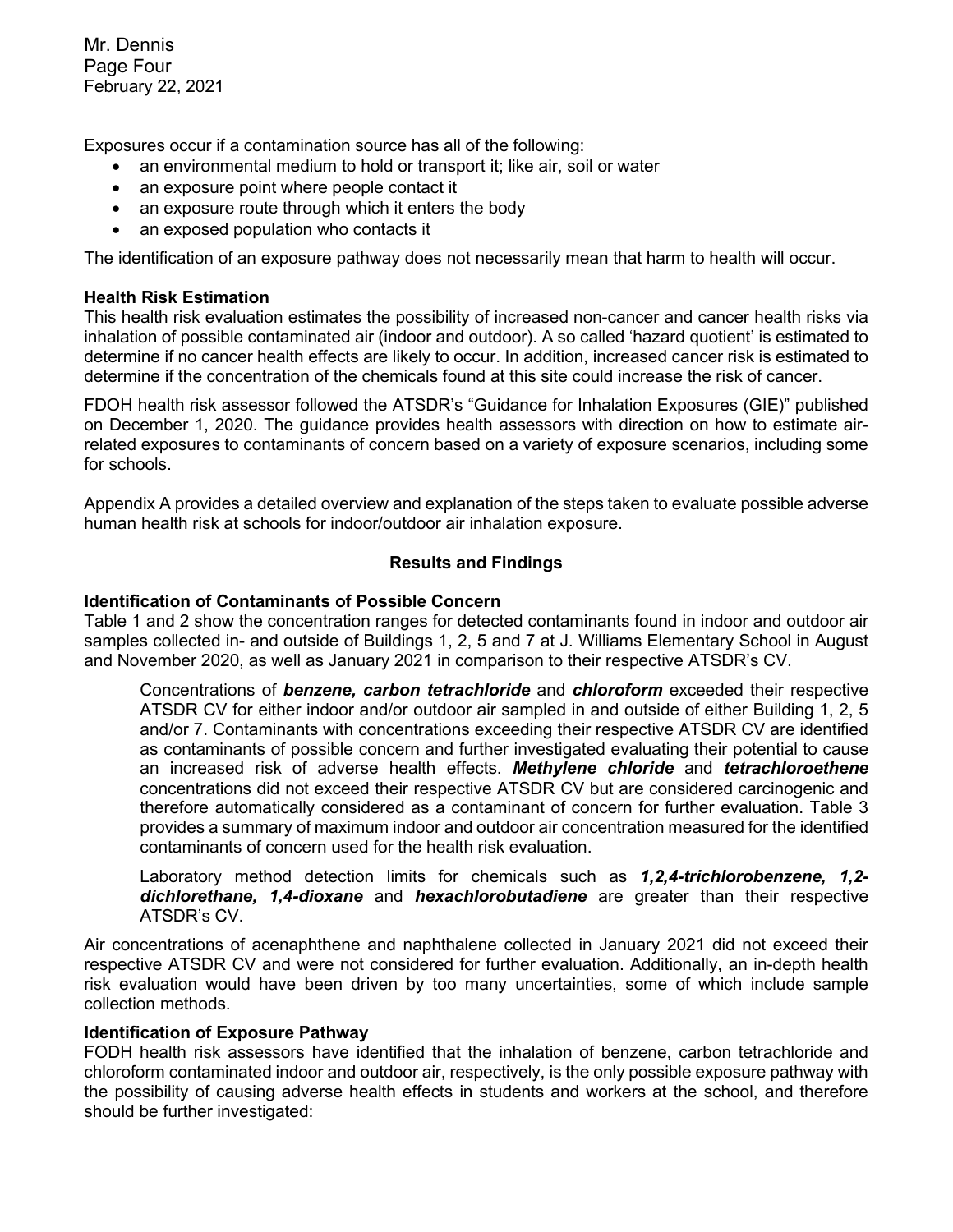Mr. Dennis Page Four February 22, 2021

Exposures occur if a contamination source has all of the following:

- an environmental medium to hold or transport it; like air, soil or water
- an exposure point where people contact it
- an exposure route through which it enters the body
- an exposed population who contacts it

The identification of an exposure pathway does not necessarily mean that harm to health will occur.

#### **Health Risk Estimation**

This health risk evaluation estimates the possibility of increased non-cancer and cancer health risks via inhalation of possible contaminated air (indoor and outdoor). A so called 'hazard quotient' is estimated to determine if no cancer health effects are likely to occur. In addition, increased cancer risk is estimated to determine if the concentration of the chemicals found at this site could increase the risk of cancer.

FDOH health risk assessor followed the ATSDR's "Guidance for Inhalation Exposures (GIE)" published on December 1, 2020. The guidance provides health assessors with direction on how to estimate airrelated exposures to contaminants of concern based on a variety of exposure scenarios, including some for schools.

Appendix A provides a detailed overview and explanation of the steps taken to evaluate possible adverse human health risk at schools for indoor/outdoor air inhalation exposure.

#### **Results and Findings**

#### **Identification of Contaminants of Possible Concern**

Table 1 and 2 show the concentration ranges for detected contaminants found in indoor and outdoor air samples collected in- and outside of Buildings 1, 2, 5 and 7 at J. Williams Elementary School in August and November 2020, as well as January 2021 in comparison to their respective ATSDR's CV.

Concentrations of *benzene, carbon tetrachloride* and *chloroform* exceeded their respective ATSDR CV for either indoor and/or outdoor air sampled in and outside of either Building 1, 2, 5 and/or 7. Contaminants with concentrations exceeding their respective ATSDR CV are identified as contaminants of possible concern and further investigated evaluating their potential to cause an increased risk of adverse health effects. *Methylene chloride* and *tetrachloroethene* concentrations did not exceed their respective ATSDR CV but are considered carcinogenic and therefore automatically considered as a contaminant of concern for further evaluation. Table 3 provides a summary of maximum indoor and outdoor air concentration measured for the identified contaminants of concern used for the health risk evaluation.

Laboratory method detection limits for chemicals such as *1,2,4-trichlorobenzene, 1,2 dichlorethane, 1,4-dioxane* and *hexachlorobutadiene* are greater than their respective ATSDR's CV.

Air concentrations of acenaphthene and naphthalene collected in January 2021 did not exceed their respective ATSDR CV and were not considered for further evaluation. Additionally, an in-depth health risk evaluation would have been driven by too many uncertainties, some of which include sample collection methods.

#### **Identification of Exposure Pathway**

FODH health risk assessors have identified that the inhalation of benzene, carbon tetrachloride and chloroform contaminated indoor and outdoor air, respectively, is the only possible exposure pathway with the possibility of causing adverse health effects in students and workers at the school, and therefore should be further investigated: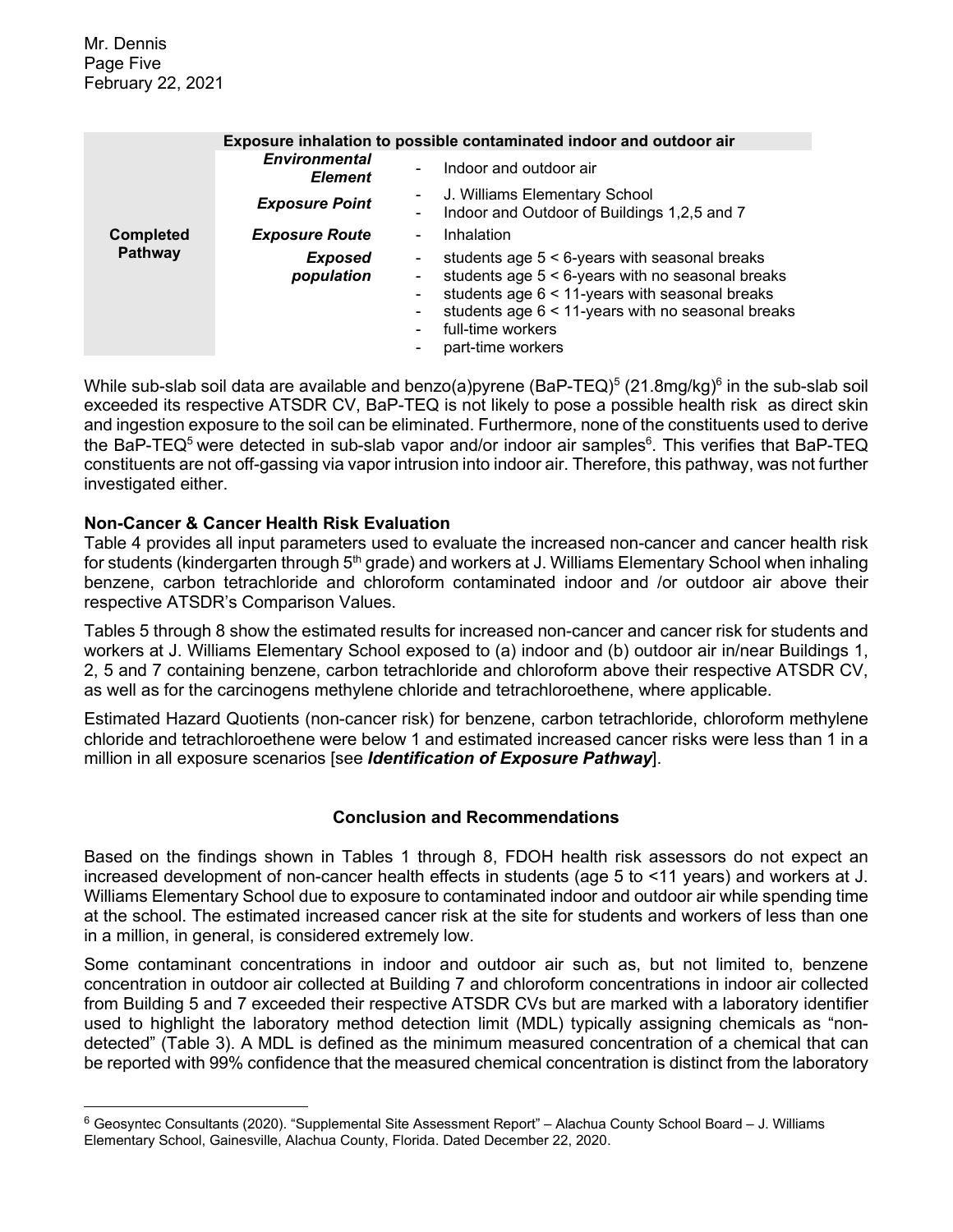|                  |                                        | Exposure inhalation to possible contaminated indoor and outdoor air                                                                                                                                                                                      |
|------------------|----------------------------------------|----------------------------------------------------------------------------------------------------------------------------------------------------------------------------------------------------------------------------------------------------------|
|                  | <b>Environmental</b><br><b>Element</b> | Indoor and outdoor air                                                                                                                                                                                                                                   |
|                  | <b>Exposure Point</b>                  | J. Williams Elementary School<br>Indoor and Outdoor of Buildings 1,2,5 and 7                                                                                                                                                                             |
| <b>Completed</b> | <b>Exposure Route</b>                  | Inhalation                                                                                                                                                                                                                                               |
| Pathway          | Exposed<br>population                  | students age $5 < 6$ -years with seasonal breaks<br>students age $5 < 6$ -years with no seasonal breaks<br>students age 6 < 11-years with seasonal breaks<br>students age 6 < 11-years with no seasonal breaks<br>full-time workers<br>part-time workers |

While sub-slab soil data are available and benzo(a)pyrene (BaP-TEQ) $^5$  (21.8mg/kg) $^6$  in the sub-slab soil exceeded its respective ATSDR CV, BaP-TEQ is not likely to pose a possible health risk as direct skin and ingestion exposure to the soil can be eliminated. Furthermore, none of the constituents used to derive the BaP-TEQ<sup>5</sup> were detected in sub-slab vapor and/or indoor air samples<sup>6</sup>. This verifies that BaP-TEQ constituents are not off-gassing via vapor intrusion into indoor air. Therefore, this pathway, was not further investigated either.

#### **Non-Cancer & Cancer Health Risk Evaluation**

Table 4 provides all input parameters used to evaluate the increased non-cancer and cancer health risk for students (kindergarten through 5<sup>th</sup> grade) and workers at J. Williams Elementary School when inhaling benzene, carbon tetrachloride and chloroform contaminated indoor and /or outdoor air above their respective ATSDR's Comparison Values.

Tables 5 through 8 show the estimated results for increased non-cancer and cancer risk for students and workers at J. Williams Elementary School exposed to (a) indoor and (b) outdoor air in/near Buildings 1, 2, 5 and 7 containing benzene, carbon tetrachloride and chloroform above their respective ATSDR CV, as well as for the carcinogens methylene chloride and tetrachloroethene, where applicable.

Estimated Hazard Quotients (non-cancer risk) for benzene, carbon tetrachloride, chloroform methylene chloride and tetrachloroethene were below 1 and estimated increased cancer risks were less than 1 in a million in all exposure scenarios [see *Identification of Exposure Pathway*].

# **Conclusion and Recommendations**

Based on the findings shown in Tables 1 through 8, FDOH health risk assessors do not expect an increased development of non-cancer health effects in students (age 5 to <11 years) and workers at J. Williams Elementary School due to exposure to contaminated indoor and outdoor air while spending time at the school. The estimated increased cancer risk at the site for students and workers of less than one in a million, in general, is considered extremely low.

Some contaminant concentrations in indoor and outdoor air such as, but not limited to, benzene concentration in outdoor air collected at Building 7 and chloroform concentrations in indoor air collected from Building 5 and 7 exceeded their respective ATSDR CVs but are marked with a laboratory identifier used to highlight the laboratory method detection limit (MDL) typically assigning chemicals as "nondetected" (Table 3). A MDL is defined as the minimum measured concentration of a chemical that can be reported with 99% confidence that the measured chemical concentration is distinct from the laboratory

 $6$  Geosyntec Consultants (2020). "Supplemental Site Assessment Report" – Alachua County School Board – J. Williams Elementary School, Gainesville, Alachua County, Florida. Dated December 22, 2020.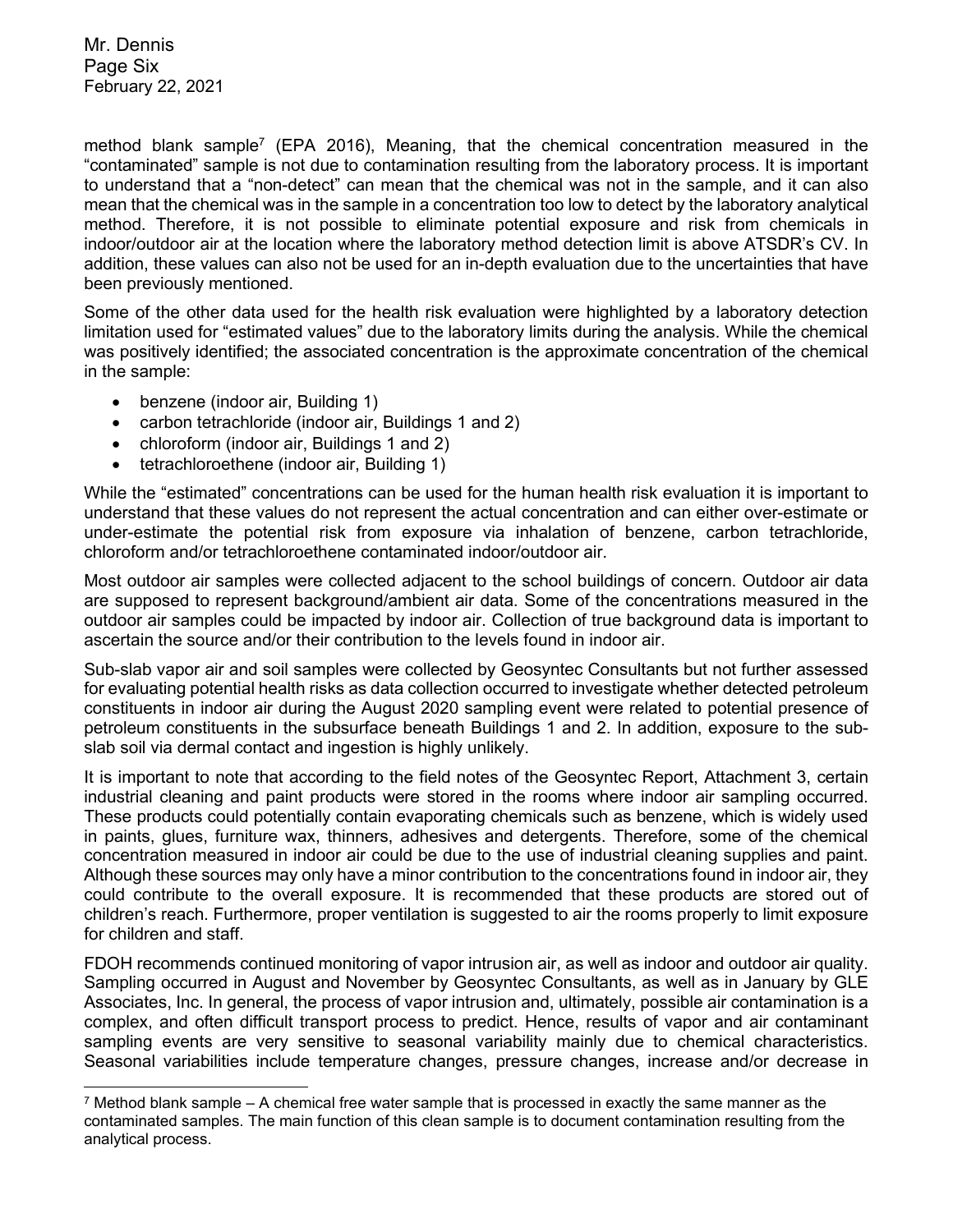Mr. Dennis Page Six February 22, 2021

method blank sample<sup>7</sup> (EPA 2016), Meaning, that the chemical concentration measured in the "contaminated" sample is not due to contamination resulting from the laboratory process. It is important to understand that a "non-detect" can mean that the chemical was not in the sample, and it can also mean that the chemical was in the sample in a concentration too low to detect by the laboratory analytical method. Therefore, it is not possible to eliminate potential exposure and risk from chemicals in indoor/outdoor air at the location where the laboratory method detection limit is above ATSDR's CV. In addition, these values can also not be used for an in-depth evaluation due to the uncertainties that have been previously mentioned.

Some of the other data used for the health risk evaluation were highlighted by a laboratory detection limitation used for "estimated values" due to the laboratory limits during the analysis. While the chemical was positively identified; the associated concentration is the approximate concentration of the chemical in the sample:

- benzene (indoor air, Building 1)
- carbon tetrachloride (indoor air, Buildings 1 and 2)
- chloroform (indoor air, Buildings 1 and 2)
- tetrachloroethene (indoor air, Building 1)

While the "estimated" concentrations can be used for the human health risk evaluation it is important to understand that these values do not represent the actual concentration and can either over-estimate or under-estimate the potential risk from exposure via inhalation of benzene, carbon tetrachloride, chloroform and/or tetrachloroethene contaminated indoor/outdoor air.

Most outdoor air samples were collected adjacent to the school buildings of concern. Outdoor air data are supposed to represent background/ambient air data. Some of the concentrations measured in the outdoor air samples could be impacted by indoor air. Collection of true background data is important to ascertain the source and/or their contribution to the levels found in indoor air.

Sub-slab vapor air and soil samples were collected by Geosyntec Consultants but not further assessed for evaluating potential health risks as data collection occurred to investigate whether detected petroleum constituents in indoor air during the August 2020 sampling event were related to potential presence of petroleum constituents in the subsurface beneath Buildings 1 and 2. In addition, exposure to the subslab soil via dermal contact and ingestion is highly unlikely.

It is important to note that according to the field notes of the Geosyntec Report, Attachment 3, certain industrial cleaning and paint products were stored in the rooms where indoor air sampling occurred. These products could potentially contain evaporating chemicals such as benzene, which is widely used in paints, glues, furniture wax, thinners, adhesives and detergents. Therefore, some of the chemical concentration measured in indoor air could be due to the use of industrial cleaning supplies and paint. Although these sources may only have a minor contribution to the concentrations found in indoor air, they could contribute to the overall exposure. It is recommended that these products are stored out of children's reach. Furthermore, proper ventilation is suggested to air the rooms properly to limit exposure for children and staff.

FDOH recommends continued monitoring of vapor intrusion air, as well as indoor and outdoor air quality. Sampling occurred in August and November by Geosyntec Consultants, as well as in January by GLE Associates, Inc. In general, the process of vapor intrusion and, ultimately, possible air contamination is a complex, and often difficult transport process to predict. Hence, results of vapor and air contaminant sampling events are very sensitive to seasonal variability mainly due to chemical characteristics. Seasonal variabilities include temperature changes, pressure changes, increase and/or decrease in

 $7$  Method blank sample – A chemical free water sample that is processed in exactly the same manner as the contaminated samples. The main function of this clean sample is to document contamination resulting from the analytical process.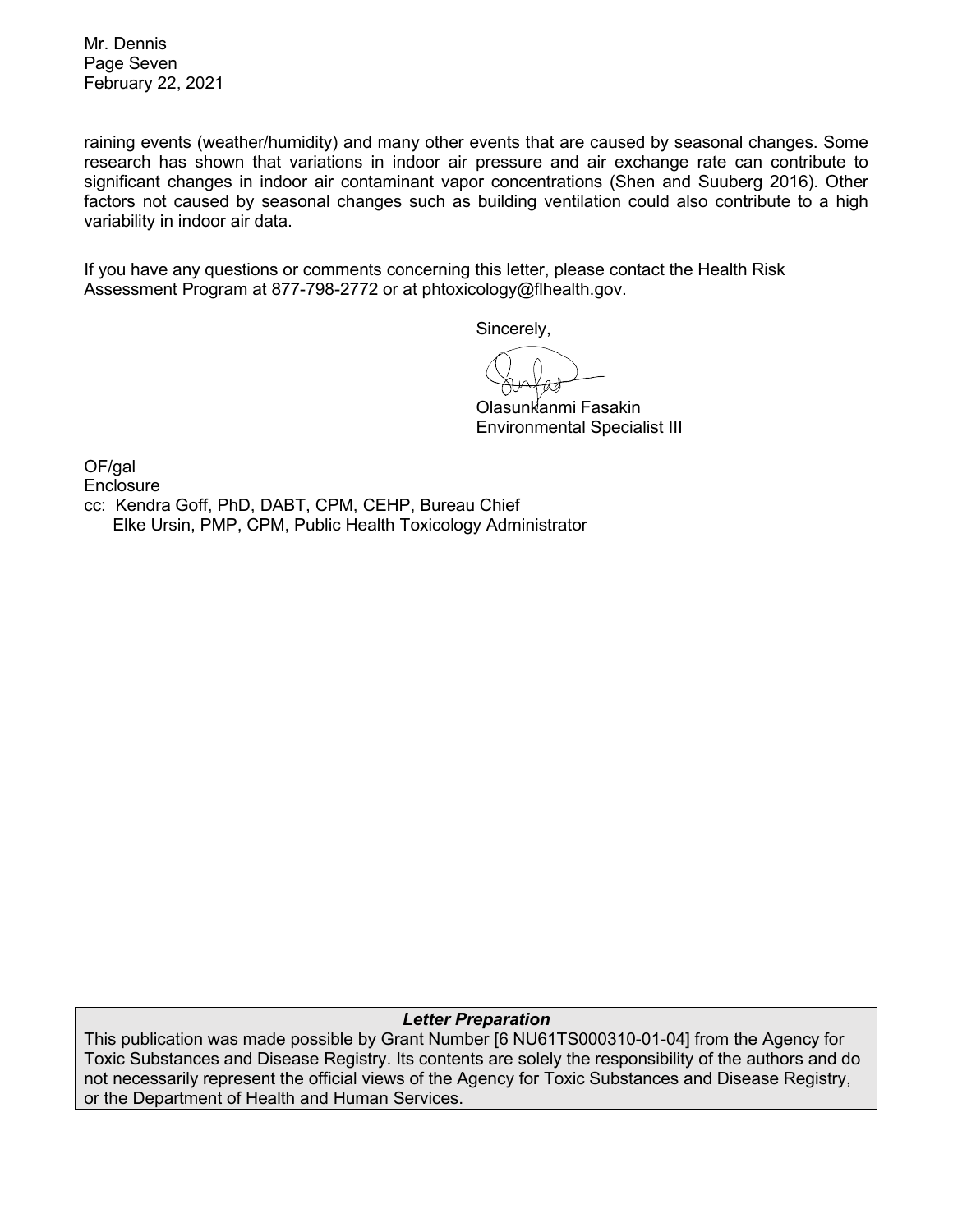Mr. Dennis Page Seven February 22, 2021

raining events (weather/humidity) and many other events that are caused by seasonal changes. Some research has shown that variations in indoor air pressure and air exchange rate can contribute to significant changes in indoor air contaminant vapor concentrations (Shen and Suuberg 2016). Other factors not caused by seasonal changes such as building ventilation could also contribute to a high variability in indoor air data.

If you have any questions or comments concerning this letter, please contact the Health Risk Assessment Program at 877-798-2772 or at phtoxicology@flhealth.gov.

Sincerely,

Olasunkanmi Fasakin Environmental Specialist III

OF/gal **Enclosure** cc: Kendra Goff, PhD, DABT, CPM, CEHP, Bureau Chief Elke Ursin, PMP, CPM, Public Health Toxicology Administrator

*Letter Preparation*

This publication was made possible by Grant Number [6 NU61TS000310-01-04] from the Agency for Toxic Substances and Disease Registry. Its contents are solely the responsibility of the authors and do not necessarily represent the official views of the Agency for Toxic Substances and Disease Registry, or the Department of Health and Human Services.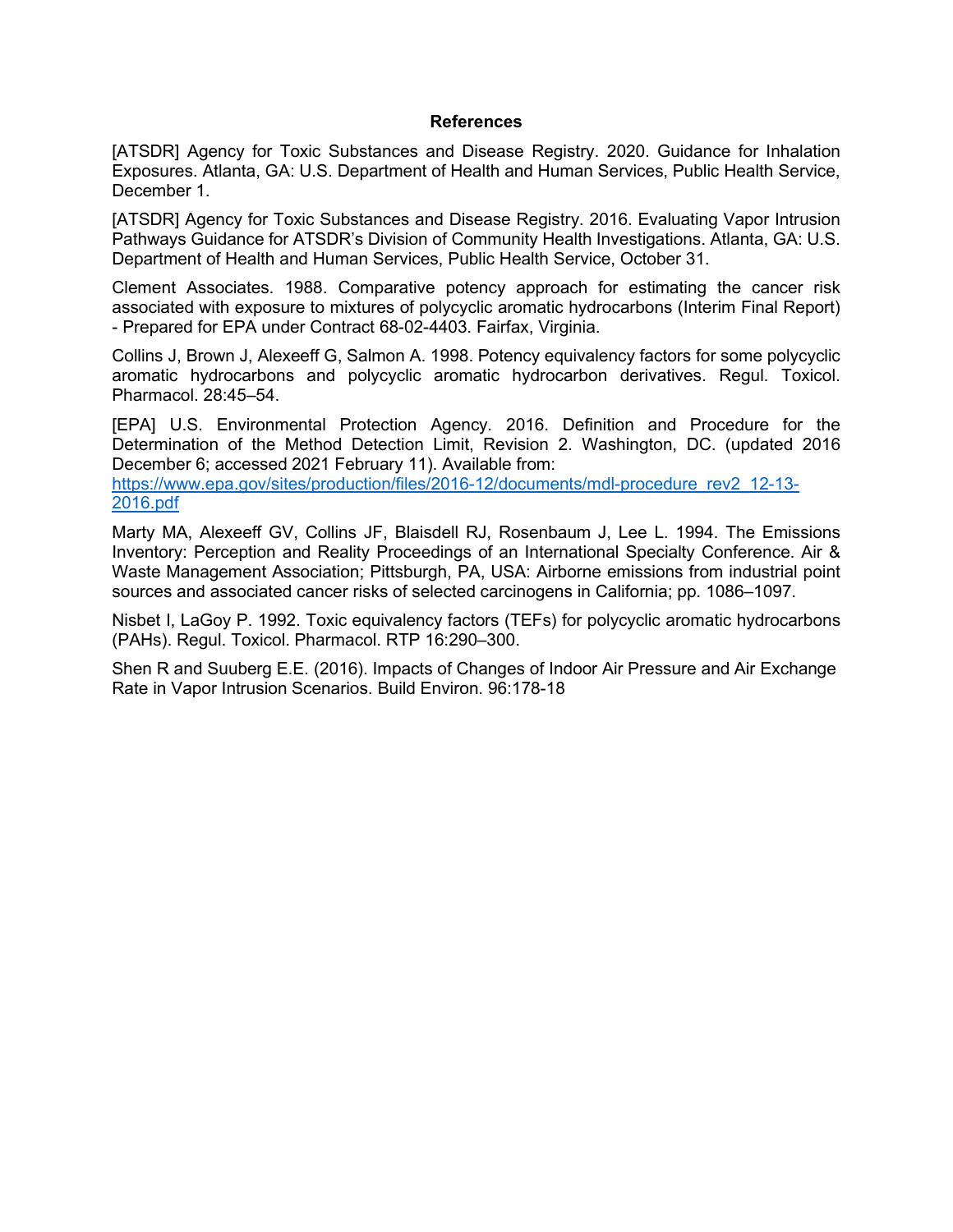#### **References**

[ATSDR] Agency for Toxic Substances and Disease Registry. 2020. Guidance for Inhalation Exposures. Atlanta, GA: U.S. Department of Health and Human Services, Public Health Service, December 1.

[ATSDR] Agency for Toxic Substances and Disease Registry. 2016. Evaluating Vapor Intrusion Pathways Guidance for ATSDR's Division of Community Health Investigations. Atlanta, GA: U.S. Department of Health and Human Services, Public Health Service, October 31.

Clement Associates. 1988. Comparative potency approach for estimating the cancer risk associated with exposure to mixtures of polycyclic aromatic hydrocarbons (Interim Final Report) - Prepared for EPA under Contract 68-02-4403. Fairfax, Virginia.

Collins J, Brown J, Alexeeff G, Salmon A. 1998. Potency equivalency factors for some polycyclic aromatic hydrocarbons and polycyclic aromatic hydrocarbon derivatives. Regul. Toxicol. Pharmacol. 28:45–54.

[EPA] U.S. Environmental Protection Agency. 2016. Definition and Procedure for the Determination of the Method Detection Limit, Revision 2. Washington, DC. (updated 2016 December 6; accessed 2021 February 11). Available from:

https://www.epa.gov/sites/production/files/2016-12/documents/mdl-procedure\_rev2\_12-13-2016.pdf

Marty MA, Alexeeff GV, Collins JF, Blaisdell RJ, Rosenbaum J, Lee L. 1994. The Emissions Inventory: Perception and Reality Proceedings of an International Specialty Conference. Air & Waste Management Association; Pittsburgh, PA, USA: Airborne emissions from industrial point sources and associated cancer risks of selected carcinogens in California; pp. 1086–1097.

Nisbet I, LaGoy P. 1992. Toxic equivalency factors (TEFs) for polycyclic aromatic hydrocarbons (PAHs). Regul. Toxicol. Pharmacol. RTP 16:290–300.

Shen R and Suuberg E.E. (2016). Impacts of Changes of Indoor Air Pressure and Air Exchange Rate in Vapor Intrusion Scenarios. Build Environ. 96:178-18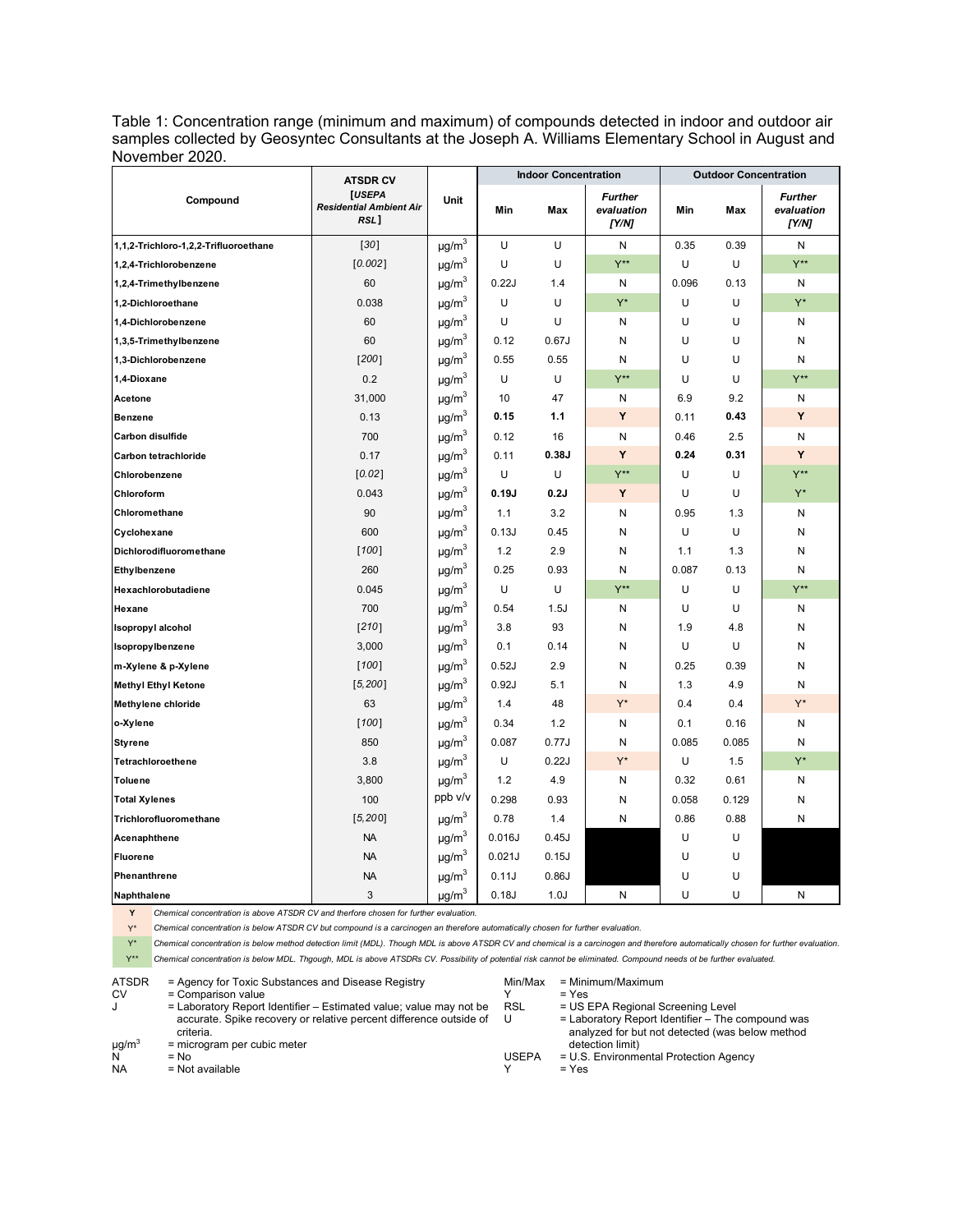Table 1: Concentration range (minimum and maximum) of compounds detected in indoor and outdoor air samples collected by Geosyntec Consultants at the Joseph A. Williams Elementary School in August and November 2020.

|                                       | <b>ATSDR CV</b>                                  |                        |        | <b>Indoor Concentration</b> |                                       | <b>Outdoor Concentration</b> |       |                                       |
|---------------------------------------|--------------------------------------------------|------------------------|--------|-----------------------------|---------------------------------------|------------------------------|-------|---------------------------------------|
| Compound                              | [USEPA<br><b>Residential Ambient Air</b><br>RSL] | Unit                   | Min    | Max                         | <b>Further</b><br>evaluation<br>[Y/N] | Min                          | Max   | <b>Further</b><br>evaluation<br>[Y/N] |
| 1,1,2-Trichloro-1,2,2-Trifluoroethane | $[30]$                                           | $\mu g/m^3$            | U      | U                           | N                                     | 0.35                         | 0.39  | N                                     |
| 1,2,4-Trichlorobenzene                | [0.002]                                          | $\mu$ g/m <sup>3</sup> | U      | U                           | $Y^{\star\star}$                      | U                            | U     | $Y^{\star\star}$                      |
| 1,2,4-Trimethylbenzene                | 60                                               | $\mu g/m^3$            | 0.22J  | 1.4                         | N                                     | 0.096                        | 0.13  | N                                     |
| 1,2-Dichloroethane                    | 0.038                                            | $\mu g/m^3$            | U      | U                           | $Y^*$                                 | U                            | U     | $Y^*$                                 |
| 1,4-Dichlorobenzene                   | 60                                               | $\mu$ g/m <sup>3</sup> | U      | U                           | N                                     | U                            | U     | N                                     |
| 1,3,5-Trimethylbenzene                | 60                                               | $\mu g/m^3$            | 0.12   | 0.67J                       | N                                     | U                            | U     | N                                     |
| 1,3-Dichlorobenzene                   | [200]                                            | $\mu g/m^3$            | 0.55   | 0.55                        | N                                     | U                            | U     | N                                     |
| 1,4-Dioxane                           | 0.2                                              | $\mu$ g/m <sup>3</sup> | U      | U                           | $Y^{\star\star}$                      | U                            | U     | $Y^{\star\star}$                      |
| Acetone                               | 31,000                                           | $\mu$ g/m <sup>3</sup> | 10     | 47                          | N                                     | 6.9                          | 9.2   | N                                     |
| <b>Benzene</b>                        | 0.13                                             | $\mu g/m^3$            | 0.15   | 1.1                         | Y                                     | 0.11                         | 0.43  | Y                                     |
| Carbon disulfide                      | 700                                              | $\mu g/m^3$            | 0.12   | 16                          | N                                     | 0.46                         | 2.5   | N                                     |
| Carbon tetrachloride                  | 0.17                                             | $\mu$ g/m <sup>3</sup> | 0.11   | 0.38J                       | Y                                     | 0.24                         | 0.31  | Y                                     |
| Chlorobenzene                         | [0.02]                                           | $\mu$ g/m <sup>3</sup> | U      | U                           | $Y^{\star\star}$                      | U                            | U     | $Y^{\star\star}$                      |
| Chloroform                            | 0.043                                            | $\mu$ g/m <sup>3</sup> | 0.19J  | 0.2J                        | Y                                     | U                            | U     | $Y^*$                                 |
| Chloromethane                         | 90                                               | $\mu g/m^3$            | 1.1    | 3.2                         | N                                     | 0.95                         | 1.3   | Ν                                     |
| Cyclohexane                           | 600                                              | $\mu g/m^3$            | 0.13J  | 0.45                        | N                                     | U                            | U     | Ν                                     |
| Dichlorodifluoromethane               | [100]                                            | $\mu g/m^3$            | 1.2    | 2.9                         | N                                     | 1.1                          | 1.3   | N                                     |
| Ethylbenzene                          | 260                                              | $\mu g/m^3$            | 0.25   | 0.93                        | N                                     | 0.087                        | 0.13  | N                                     |
| Hexachlorobutadiene                   | 0.045                                            | $\mu g/m^3$            | U      | U                           | $Y^{\star\star}$                      | U                            | U     | $Y^{\star\star}$                      |
| Hexane                                | 700                                              | $\mu g/m^3$            | 0.54   | 1.5J                        | N                                     | U                            | U     | N                                     |
| <b>Isopropyl alcohol</b>              | $[210]$                                          | $\mu g/m^3$            | 3.8    | 93                          | N                                     | 1.9                          | 4.8   | N                                     |
| Isopropylbenzene                      | 3,000                                            | $\mu$ g/m <sup>3</sup> | 0.1    | 0.14                        | N                                     | U                            | U     | N                                     |
| m-Xylene & p-Xylene                   | [100]                                            | $\mu$ g/m <sup>3</sup> | 0.52J  | 2.9                         | N                                     | 0.25                         | 0.39  | N                                     |
| <b>Methyl Ethyl Ketone</b>            | [5, 200]                                         | $\mu$ g/m <sup>3</sup> | 0.92J  | 5.1                         | N                                     | 1.3                          | 4.9   | N                                     |
| Methylene chloride                    | 63                                               | $\mu g/m^3$            | 1.4    | 48                          | $Y^*$                                 | 0.4                          | 0.4   | $Y^*$                                 |
| o-Xylene                              | [100]                                            | $\mu g/m^3$            | 0.34   | 1.2                         | N                                     | 0.1                          | 0.16  | N                                     |
| <b>Styrene</b>                        | 850                                              | $\mu$ g/m $^3$         | 0.087  | 0.77J                       | N                                     | 0.085                        | 0.085 | N                                     |
| Tetrachloroethene                     | 3.8                                              | $\mu$ g/m <sup>3</sup> | U      | 0.22J                       | Y*                                    | U                            | 1.5   | $Y^*$                                 |
| <b>Toluene</b>                        | 3,800                                            | $\mu g/m^3$            | 1.2    | 4.9                         | N                                     | 0.32                         | 0.61  | N                                     |
| <b>Total Xylenes</b>                  | 100                                              | ppb v/v                | 0.298  | 0.93                        | N                                     | 0.058                        | 0.129 | N                                     |
| Trichlorofluoromethane                | [5, 200]                                         | $\mu g/m^3$            | 0.78   | 1.4                         | N                                     | 0.86                         | 0.88  | N                                     |
| Acenaphthene                          | <b>NA</b>                                        | $\mu$ g/m <sup>3</sup> | 0.016J | 0.45J                       |                                       | U                            | U     |                                       |
| <b>Fluorene</b>                       | <b>NA</b>                                        | $\mu g/m^3$            | 0.021J | 0.15J                       |                                       | U                            | U     |                                       |
| Phenanthrene                          | <b>NA</b>                                        | $\mu g/m^3$            | 0.11J  | 0.86J                       |                                       | U                            | U     |                                       |
| Naphthalene                           | 3                                                | $\mu g/m^3$            | 0.18J  | 1.0J                        | N                                     | U                            | U     | Ν                                     |

**Y** *Chemical concentration is above ATSDR CV and therfore chosen for further evaluation.*

Y\* *Chemical concentration is below ATSDR CV but compound is a carcinogen an therefore automatically chosen for further evaluation.*

Y<sup>\*</sup> Chemical concentration is below method detection limit (MDL). Though MDL is above ATSDR CV and chemical is a carcinogen and therefore automatically chosen for further evaluation. Y\*\* *Chemical concentration is below MDL. Thgough, MDL is above ATSDRs CV. Possibility of potential risk cannot be eliminated. Compound needs ot be further evaluated.* 

| <b>ATSDR</b><br><b>CV</b> | = Agency for Toxic Substances and Disease Registry<br>= Comparison value        | Min/Max      | $=$ Minimum/Maximum<br>$=$ Yes                                                                       |
|---------------------------|---------------------------------------------------------------------------------|--------------|------------------------------------------------------------------------------------------------------|
| J                         | = Laboratory Report Identifier – Estimated value; value may not be              | <b>RSL</b>   | = US EPA Regional Screening Level                                                                    |
|                           | accurate. Spike recovery or relative percent difference outside of<br>criteria. | U            | = Laboratory Report Identifier - The compound was<br>analyzed for but not detected (was below method |
| $\mu$ g/m <sup>3</sup>    | = microgram per cubic meter                                                     |              | detection limit)                                                                                     |
| N                         | $= No$                                                                          | <b>USEPA</b> | = U.S. Environmental Protection Agency                                                               |
| <b>NA</b>                 | $=$ Not available                                                               |              | $= Yes$                                                                                              |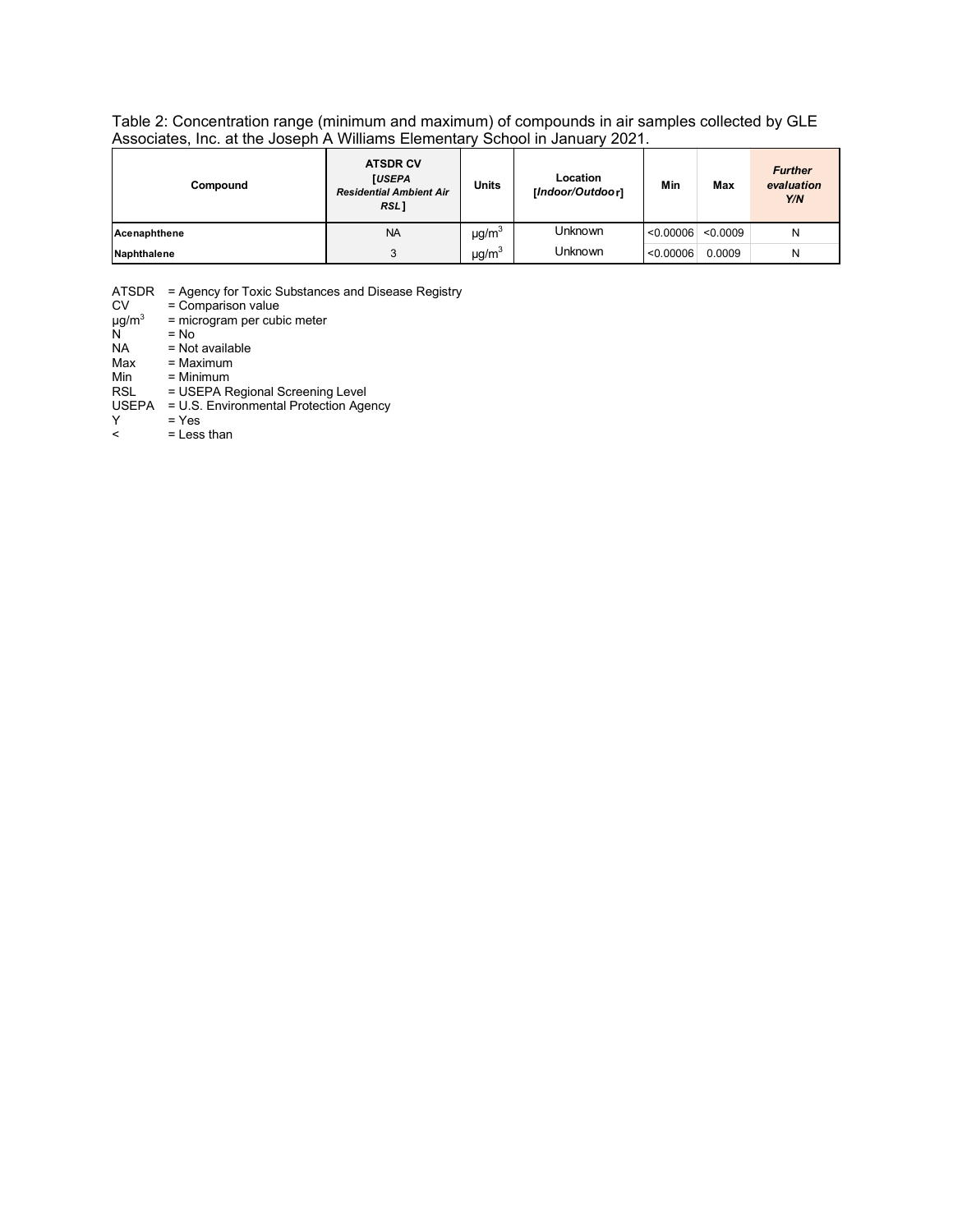Table 2: Concentration range (minimum and maximum) of compounds in air samples collected by GLE Associates, Inc. at the Joseph A Williams Elementary School in January 2021.

| Compound     | <b>ATSDR CV</b><br><b>[USEPA</b><br><b>Residential Ambient Air</b><br>RSL] | <b>Units</b>           | Location<br>[Indoor/Outdoor] | Min       | Max      | <b>Further</b><br>evaluation<br>Y/N |
|--------------|----------------------------------------------------------------------------|------------------------|------------------------------|-----------|----------|-------------------------------------|
| Acenaphthene | <b>NA</b>                                                                  | $\mu$ g/m <sup>3</sup> | <b>Unknown</b>               | < 0.00006 | < 0.0009 | Ν                                   |
| Naphthalene  | $\mu$ g/m <sup>3</sup><br>3                                                |                        | Unknown                      | < 0.00006 | 0.0009   | Ν                                   |

ATSDR = Agency for Toxic Substances and Disease Registry CV = Comparison value = Comparison value<br>= microgram per cubic meter<br>= No - v<br>µg/m<sup>3</sup><br>NA  $NA$  = Not available<br> $Max$  = Maximum Max = Maximum<br>Min = Minimum Min = Minimum<br>RSL = USEPA R = USEPA Regional Screening Level USEPA = U.S. Environmental Protection Agency  $\begin{array}{ccc} \mathsf{Y} & = \mathsf{Yes} \\ \mathsf{S} & = \mathsf{Less} \end{array}$ = Less than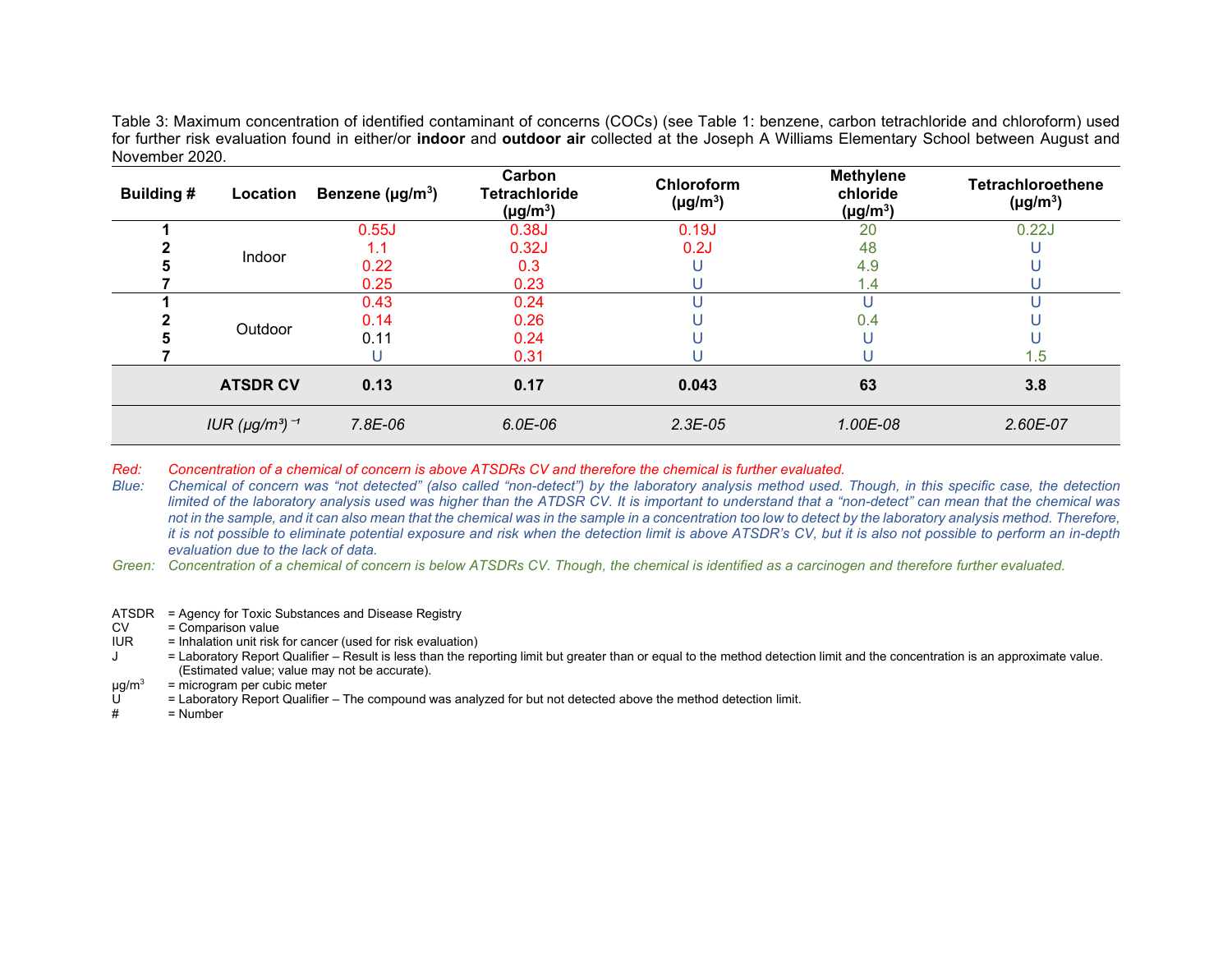Table 3: Maximum concentration of identified contaminant of concerns (COCs) (see Table 1: benzene, carbon tetrachloride and chloroform) used for further risk evaluation found in either/or **indoor** and **outdoor air** collected at the Joseph A Williams Elementary School between August and November 2020.

| <b>Building #</b> | Location                                     | Benzene ( $\mu$ g/m <sup>3</sup> ) | Carbon<br><b>Tetrachloride</b><br>$(\mu g/m^3)$ | <b>Chloroform</b><br>$(\mu g/m^3)$ | <b>Methylene</b><br>chloride<br>$(\mu g/m^3)$ | <b>Tetrachloroethene</b><br>$(\mu g/m^3)$ |
|-------------------|----------------------------------------------|------------------------------------|-------------------------------------------------|------------------------------------|-----------------------------------------------|-------------------------------------------|
|                   |                                              | 0.55J                              | 0.38J                                           | 0.19J                              | 20                                            | 0.22J                                     |
|                   |                                              | 1.1                                | 0.32J                                           | 0.2J                               | 48                                            |                                           |
|                   | <b>Indoor</b>                                | 0.22                               | 0.3                                             |                                    | 4.9                                           |                                           |
|                   |                                              | 0.25                               | 0.23                                            |                                    | 1.4                                           |                                           |
|                   |                                              | 0.43                               | 0.24                                            |                                    |                                               |                                           |
|                   | Outdoor                                      | 0.14                               | 0.26                                            |                                    | 0.4                                           |                                           |
|                   |                                              | 0.11                               | 0.24                                            |                                    |                                               |                                           |
|                   |                                              |                                    | 0.31                                            |                                    |                                               | 1.5                                       |
|                   | <b>ATSDR CV</b>                              | 0.13                               | 0.17                                            | 0.043                              | 63                                            | 3.8                                       |
|                   | IUR ( $\mu$ g/m <sup>3</sup> ) $\rightarrow$ | 7.8E-06                            | $6.0E-06$                                       | $2.3E-0.5$                         | 1.00E-08                                      | 2.60E-07                                  |

*Red: Concentration of a chemical of concern is above ATSDRs CV and therefore the chemical is further evaluated.*

*Blue: Chemical of concern was "not detected" (also called "non-detect") by the laboratory analysis method used. Though, in this specific case, the detection limited of the laboratory analysis used was higher than the ATDSR CV. It is important to understand that a "non-detect" can mean that the chemical was not in the sample, and it can also mean that the chemical was in the sample in a concentration too low to detect by the laboratory analysis method. Therefore, it is not possible to eliminate potential exposure and risk when the detection limit is above ATSDR's CV, but it is also not possible to perform an in-depth evaluation due to the lack of data.* 

*Green: Concentration of a chemical of concern is below ATSDRs CV. Though, the chemical is identified as a carcinogen and therefore further evaluated.*

ATSDR = Agency for Toxic Substances and Disease Registry

 $CV = Comparison value$ <br> $IUR = Inhalation unit risk$ 

 $\overline{a}$  = Inhalation unit risk for cancer (used for risk evaluation)

J = Laboratory Report Qualifier – Result is less than the reporting limit but greater than or equal to the method detection limit and the concentration is an approximate value. (Estimated value; value may not be accurate).

 $\mu$ g/m<sup>3</sup> = microgram per cubic meter<br>  $\mu$  = Laboratory Report Qualifier

 $U =$  Laboratory Report Qualifier – The compound was analyzed for but not detected above the method detection limit.<br>  $\frac{H}{H} = N$ umber

 $=$  Number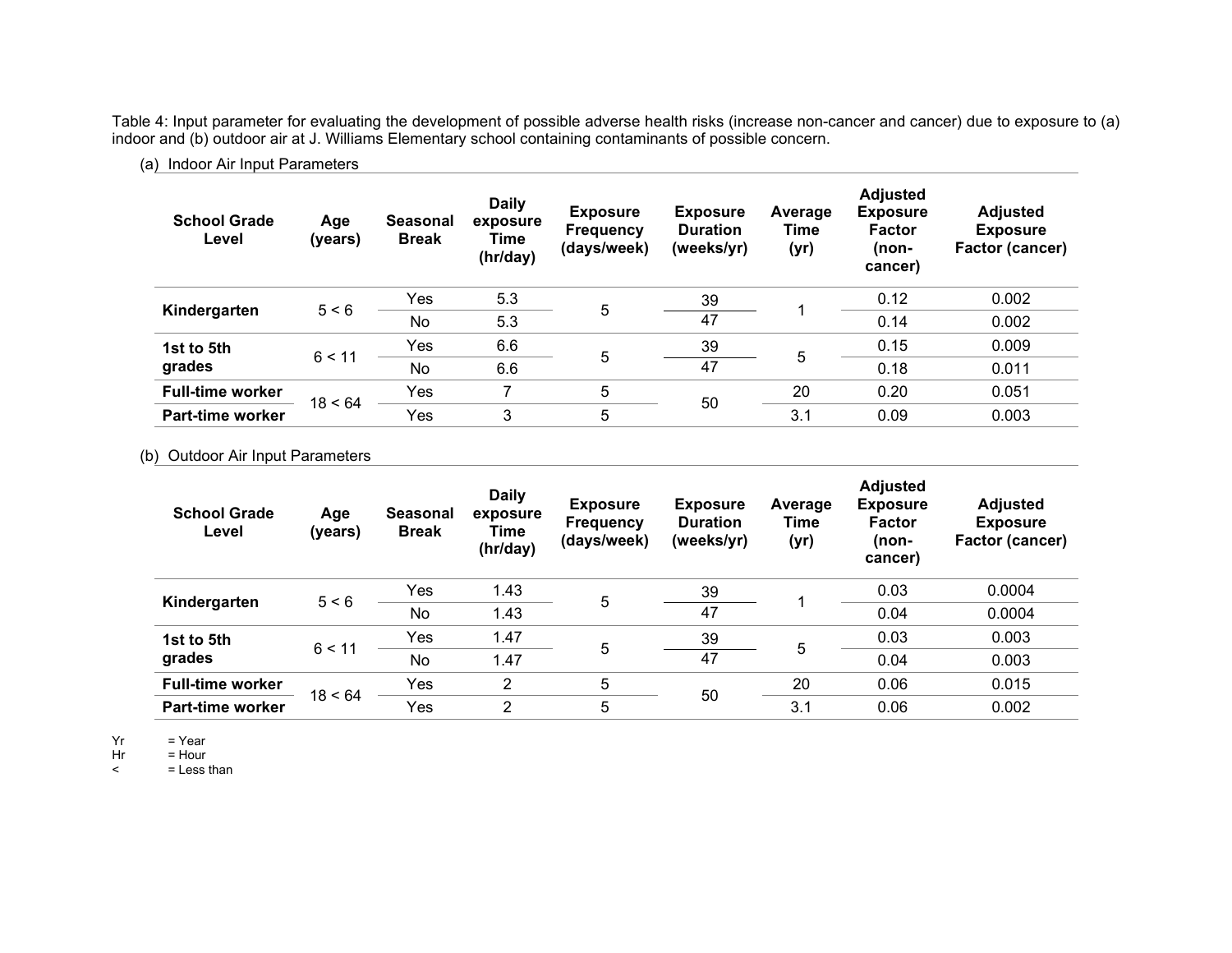Table 4: Input parameter for evaluating the development of possible adverse health risks (increase non-cancer and cancer) due to exposure to (a) indoor and (b) outdoor air at J. Williams Elementary school containing contaminants of possible concern.

#### (a) Indoor Air Input Parameters

| <b>School Grade</b><br>Level | Age<br>(years) | <b>Seasonal</b><br><b>Break</b> | <b>Daily</b><br>exposure<br>Time<br>(hr/day) | <b>Exposure</b><br><b>Frequency</b><br>(days/week) | <b>Exposure</b><br><b>Duration</b><br>(weeks/yr) | Average<br>Time<br>(yr) | <b>Adjusted</b><br><b>Exposure</b><br><b>Factor</b><br>(non-<br>cancer) | <b>Adjusted</b><br><b>Exposure</b><br>Factor (cancer) |
|------------------------------|----------------|---------------------------------|----------------------------------------------|----------------------------------------------------|--------------------------------------------------|-------------------------|-------------------------------------------------------------------------|-------------------------------------------------------|
| Kindergarten                 | 5 < 6          | Yes                             | 5.3                                          | 5                                                  | 39                                               |                         | 0.12                                                                    | 0.002                                                 |
|                              |                | No                              | 5.3                                          |                                                    | 47                                               |                         | 0.14                                                                    | 0.002                                                 |
| 1st to 5th                   | 6 < 11         | Yes                             | 6.6                                          |                                                    | 39                                               |                         | 0.15                                                                    | 0.009                                                 |
| grades                       |                | No                              | 6.6                                          | 5                                                  | 47                                               | 5                       | 0.18                                                                    | 0.011                                                 |
| <b>Full-time worker</b>      |                | Yes                             | 7                                            | 5                                                  |                                                  | 20                      | 0.20                                                                    | 0.051                                                 |
| <b>Part-time worker</b>      | 18 < 64        | Yes                             | 3                                            | 5                                                  | 50                                               | 3.1                     | 0.09                                                                    | 0.003                                                 |

#### (b) Outdoor Air Input Parameters

| <b>School Grade</b><br>Level | Age<br>(years) | <b>Seasonal</b><br><b>Break</b> | <b>Daily</b><br>exposure<br>Time<br>(hr/day) | <b>Exposure</b><br><b>Frequency</b><br>(days/week) | <b>Exposure</b><br><b>Duration</b><br>(weeks/yr) | Average<br>Time<br>(yr) | <b>Adjusted</b><br><b>Exposure</b><br><b>Factor</b><br>(non-<br>cancer) | <b>Adjusted</b><br><b>Exposure</b><br>Factor (cancer) |
|------------------------------|----------------|---------------------------------|----------------------------------------------|----------------------------------------------------|--------------------------------------------------|-------------------------|-------------------------------------------------------------------------|-------------------------------------------------------|
| Kindergarten                 |                | Yes                             | 1.43                                         |                                                    | 39                                               |                         | 0.03                                                                    | 0.0004                                                |
|                              | 5 < 6          | No                              | 1.43                                         | 5                                                  | 47                                               |                         | 0.04                                                                    | 0.0004                                                |
| 1st to 5th                   |                | Yes                             | 1.47                                         |                                                    | 39                                               |                         | 0.03                                                                    | 0.003                                                 |
| grades                       | 6 < 11         | No                              | 1.47                                         | 5                                                  | 47                                               | 5                       | 0.04                                                                    | 0.003                                                 |
| <b>Full-time worker</b>      |                | Yes                             | $\overline{2}$                               | 5                                                  |                                                  | 20                      | 0.06                                                                    | 0.015                                                 |
| Part-time worker             | 18 < 64        | Yes                             | $\overline{2}$                               | 5                                                  | 50                                               | 3.1                     | 0.06                                                                    | 0.002                                                 |

 $Yr = Year$ 

 $Hr = Hour$ <br>  $\leq$  = Less t = Less than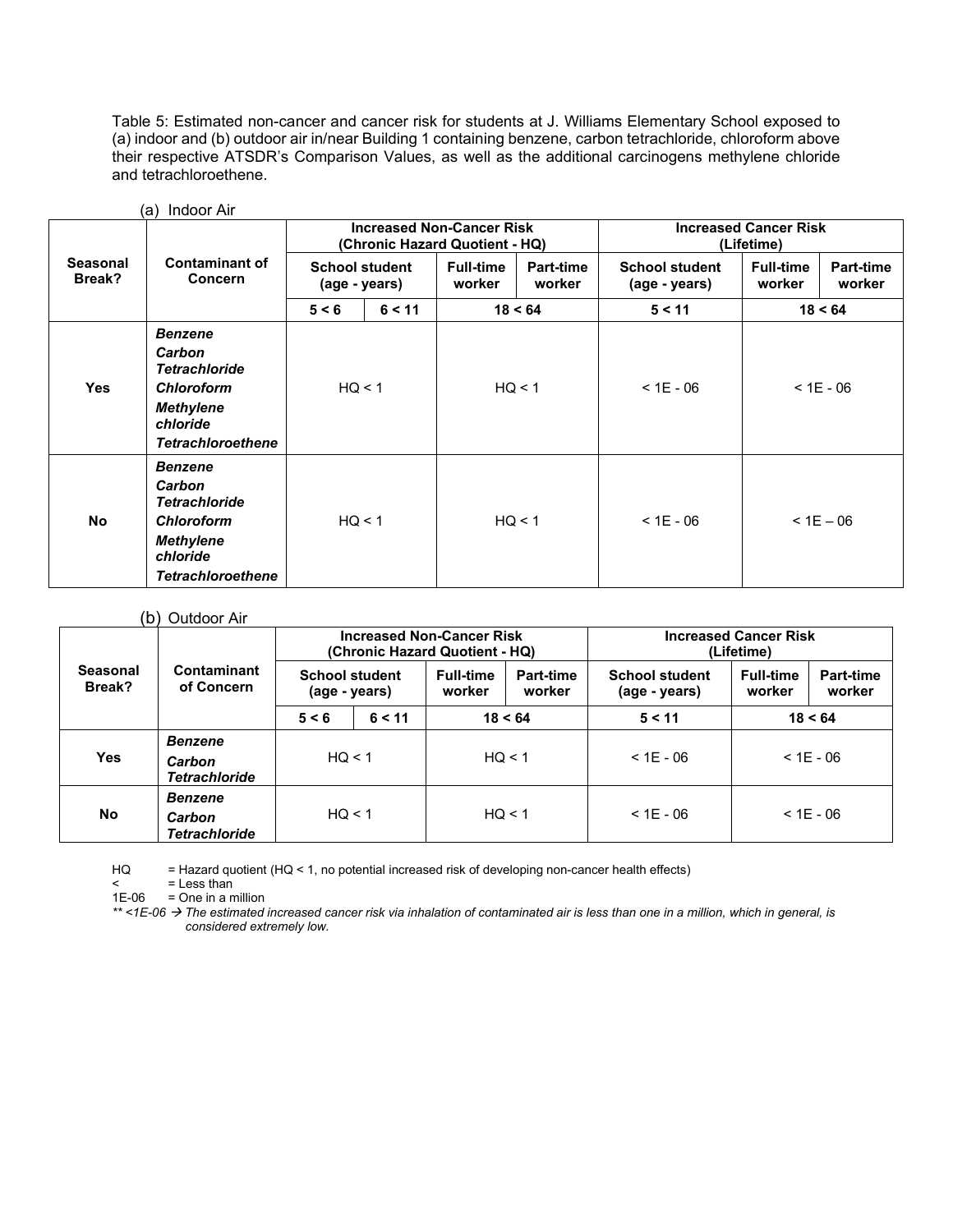Table 5: Estimated non-cancer and cancer risk for students at J. Williams Elementary School exposed to (a) indoor and (b) outdoor air in/near Building 1 containing benzene, carbon tetrachloride, chloroform above their respective ATSDR's Comparison Values, as well as the additional carcinogens methylene chloride and tetrachloroethene.

|                           |                                                                                                                                   |                                        |        | <b>Increased Non-Cancer Risk</b><br>(Chronic Hazard Quotient - HQ) |                     | <b>Increased Cancer Risk</b><br>(Lifetime) |                            |                            |  |
|---------------------------|-----------------------------------------------------------------------------------------------------------------------------------|----------------------------------------|--------|--------------------------------------------------------------------|---------------------|--------------------------------------------|----------------------------|----------------------------|--|
| <b>Seasonal</b><br>Break? | <b>Contaminant of</b><br><b>Concern</b>                                                                                           | <b>School student</b><br>(age - years) |        | <b>Full-time</b><br>worker                                         | Part-time<br>worker | <b>School student</b><br>(age - years)     | <b>Full-time</b><br>worker | <b>Part-time</b><br>worker |  |
|                           |                                                                                                                                   | 5 < 6                                  | 6 < 11 |                                                                    | 18 < 64             | 5 < 11                                     |                            | 18 < 64                    |  |
| <b>Yes</b>                | <b>Benzene</b><br>Carbon<br><b>Tetrachloride</b><br><b>Chloroform</b><br><b>Methylene</b><br>chloride<br><b>Tetrachloroethene</b> | HQ < 1                                 |        |                                                                    | HQ < 1              | $< 1E - 06$                                | $< 1E - 06$                |                            |  |
| <b>No</b>                 | <b>Benzene</b><br>Carbon<br><b>Tetrachloride</b><br><b>Chloroform</b><br><b>Methylene</b><br>chloride<br><b>Tetrachloroethene</b> | HQ < 1                                 |        | HQ < 1                                                             |                     | $< 1E - 06$                                | $< 1E - 06$                |                            |  |

(a) Indoor Air

#### (b) Outdoor Air

| Seasonal<br>Break? | Contaminant<br>of Concern      |                                        |        | <b>Increased Non-Cancer Risk</b><br>(Chronic Hazard Quotient - HQ) |  | <b>Increased Cancer Risk</b><br>(Lifetime) |                            |                     |  |
|--------------------|--------------------------------|----------------------------------------|--------|--------------------------------------------------------------------|--|--------------------------------------------|----------------------------|---------------------|--|
|                    |                                | <b>School student</b><br>(age - years) |        | <b>Full-time</b><br><b>Part-time</b><br>worker<br>worker           |  | <b>School student</b><br>(age - years)     | <b>Full-time</b><br>worker | Part-time<br>worker |  |
|                    |                                | 5 < 6                                  | 6 < 11 | 18 < 64                                                            |  | 5 < 11                                     | 18 < 64                    |                     |  |
|                    | <b>Benzene</b>                 | HQ < 1                                 |        | HQ < 1                                                             |  |                                            | $< 1F - 06$                |                     |  |
| <b>Yes</b>         | Carbon<br><b>Tetrachloride</b> |                                        |        |                                                                    |  | $<$ 1E - 06                                |                            |                     |  |
| <b>No</b>          | <b>Benzene</b><br>Carbon       | HQ < 1                                 |        | HQ < 1                                                             |  | $<$ 1E - 06                                | $< 1E - 06$                |                     |  |
|                    | <b>Tetrachloride</b>           |                                        |        |                                                                    |  |                                            |                            |                     |  |

HQ = Hazard quotient (HQ < 1, no potential increased risk of developing non-cancer health effects)

 $=$  Less than

 $1E-06$  = One in a million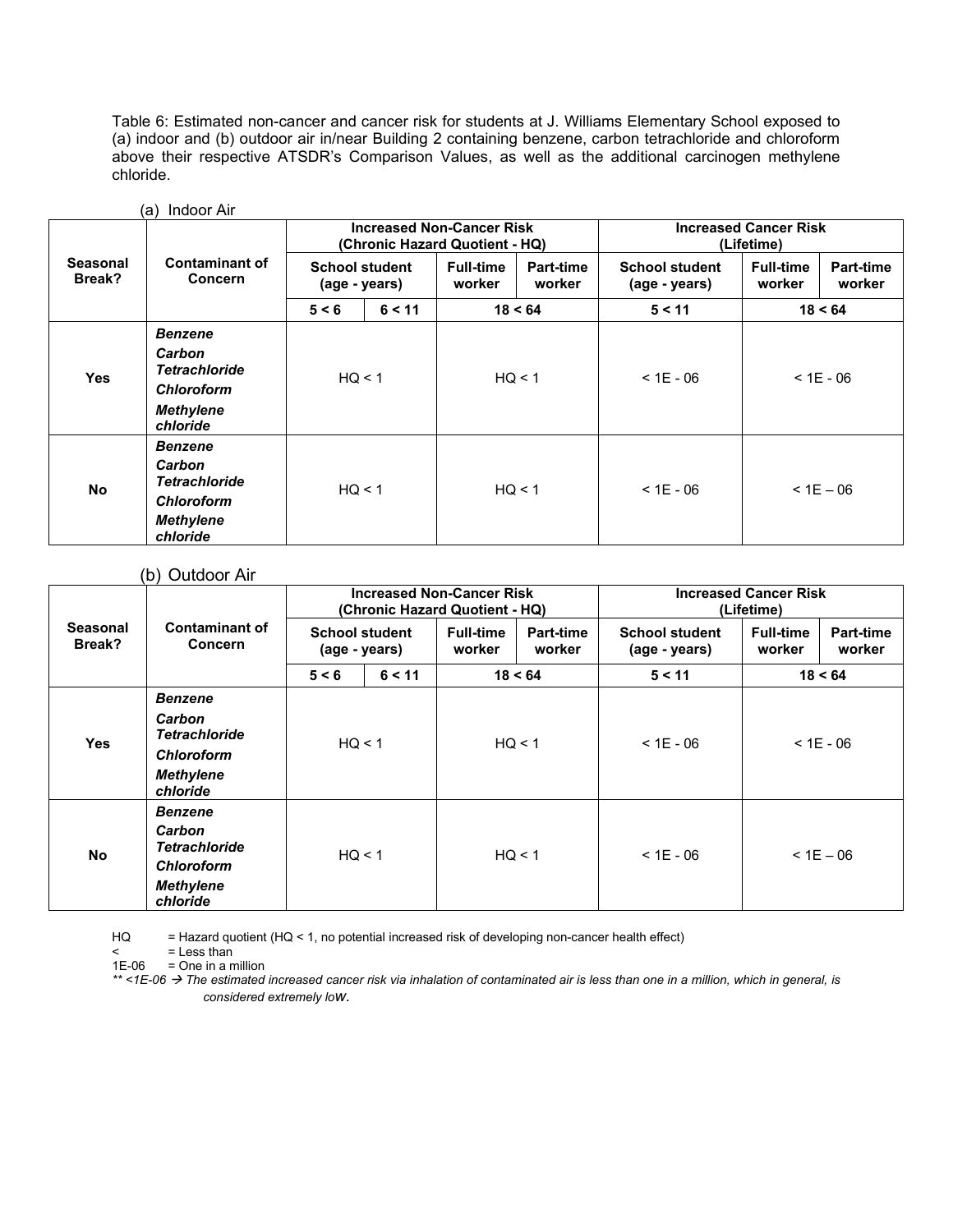Table 6: Estimated non-cancer and cancer risk for students at J. Williams Elementary School exposed to (a) indoor and (b) outdoor air in/near Building 2 containing benzene, carbon tetrachloride and chloroform above their respective ATSDR's Comparison Values, as well as the additional carcinogen methylene chloride.

| <b>Seasonal</b><br>Break? |                                                                                                       |                                        |        | <b>Increased Non-Cancer Risk</b><br>(Chronic Hazard Quotient - HQ) |                            | <b>Increased Cancer Risk</b><br>(Lifetime) |                            |                            |  |
|---------------------------|-------------------------------------------------------------------------------------------------------|----------------------------------------|--------|--------------------------------------------------------------------|----------------------------|--------------------------------------------|----------------------------|----------------------------|--|
|                           | <b>Contaminant of</b><br><b>Concern</b>                                                               | <b>School student</b><br>(age - years) |        | <b>Full-time</b><br>worker                                         | <b>Part-time</b><br>worker | <b>School student</b><br>(age - years)     | <b>Full-time</b><br>worker | <b>Part-time</b><br>worker |  |
|                           |                                                                                                       | 5 < 6                                  | 6 < 11 |                                                                    | 18 < 64                    | 5 < 11                                     |                            | 18 < 64                    |  |
| <b>Yes</b>                | <b>Benzene</b><br>Carbon<br><b>Tetrachloride</b><br><b>Chloroform</b><br><b>Methylene</b><br>chloride | HQ < 1                                 |        |                                                                    | HQ < 1                     | $< 1E - 06$                                | $< 1E - 06$                |                            |  |
| <b>No</b>                 | <b>Benzene</b><br>Carbon<br><b>Tetrachloride</b><br><b>Chloroform</b><br><b>Methylene</b><br>chloride | HQ < 1                                 |        | HQ < 1                                                             |                            | $< 1E - 06$                                | $< 1E - 06$                |                            |  |

#### (a) Indoor Air

#### (b) Outdoor Air

| Seasonal<br>Break? |                                         |                                        |        | <b>Increased Non-Cancer Risk</b><br>(Chronic Hazard Quotient - HQ) |                            | <b>Increased Cancer Risk</b><br>(Lifetime) |                            |                            |  |
|--------------------|-----------------------------------------|----------------------------------------|--------|--------------------------------------------------------------------|----------------------------|--------------------------------------------|----------------------------|----------------------------|--|
|                    | <b>Contaminant of</b><br><b>Concern</b> | <b>School student</b><br>(age - years) |        | <b>Full-time</b><br>worker                                         | <b>Part-time</b><br>worker | <b>School student</b><br>(age - years)     | <b>Full-time</b><br>worker | <b>Part-time</b><br>worker |  |
|                    |                                         | 5 < 6                                  | 6 < 11 |                                                                    | 18 < 64                    | 5 < 11                                     |                            | 18 < 64                    |  |
|                    | <b>Benzene</b>                          |                                        |        |                                                                    |                            |                                            |                            |                            |  |
| <b>Yes</b>         | Carbon<br><b>Tetrachloride</b>          |                                        | HQ < 1 | HQ < 1                                                             |                            | $< 1E - 06$                                | $< 1E - 06$                |                            |  |
|                    | <b>Chloroform</b>                       |                                        |        |                                                                    |                            |                                            |                            |                            |  |
|                    | <b>Methylene</b><br>chloride            |                                        |        |                                                                    |                            |                                            |                            |                            |  |
|                    | <b>Benzene</b>                          |                                        |        |                                                                    |                            |                                            |                            |                            |  |
| <b>No</b>          | Carbon<br><b>Tetrachloride</b>          |                                        | HQ < 1 |                                                                    | HQ < 1                     | $< 1E - 06$                                | $< 1E - 06$                |                            |  |
|                    | <b>Chloroform</b>                       |                                        |        |                                                                    |                            |                                            |                            |                            |  |
|                    | <b>Methylene</b><br>chloride            |                                        |        |                                                                    |                            |                                            |                            |                            |  |

HQ = Hazard quotient (HQ < 1, no potential increased risk of developing non-cancer health effect)

= Less than

 $1E-06$  = One in a million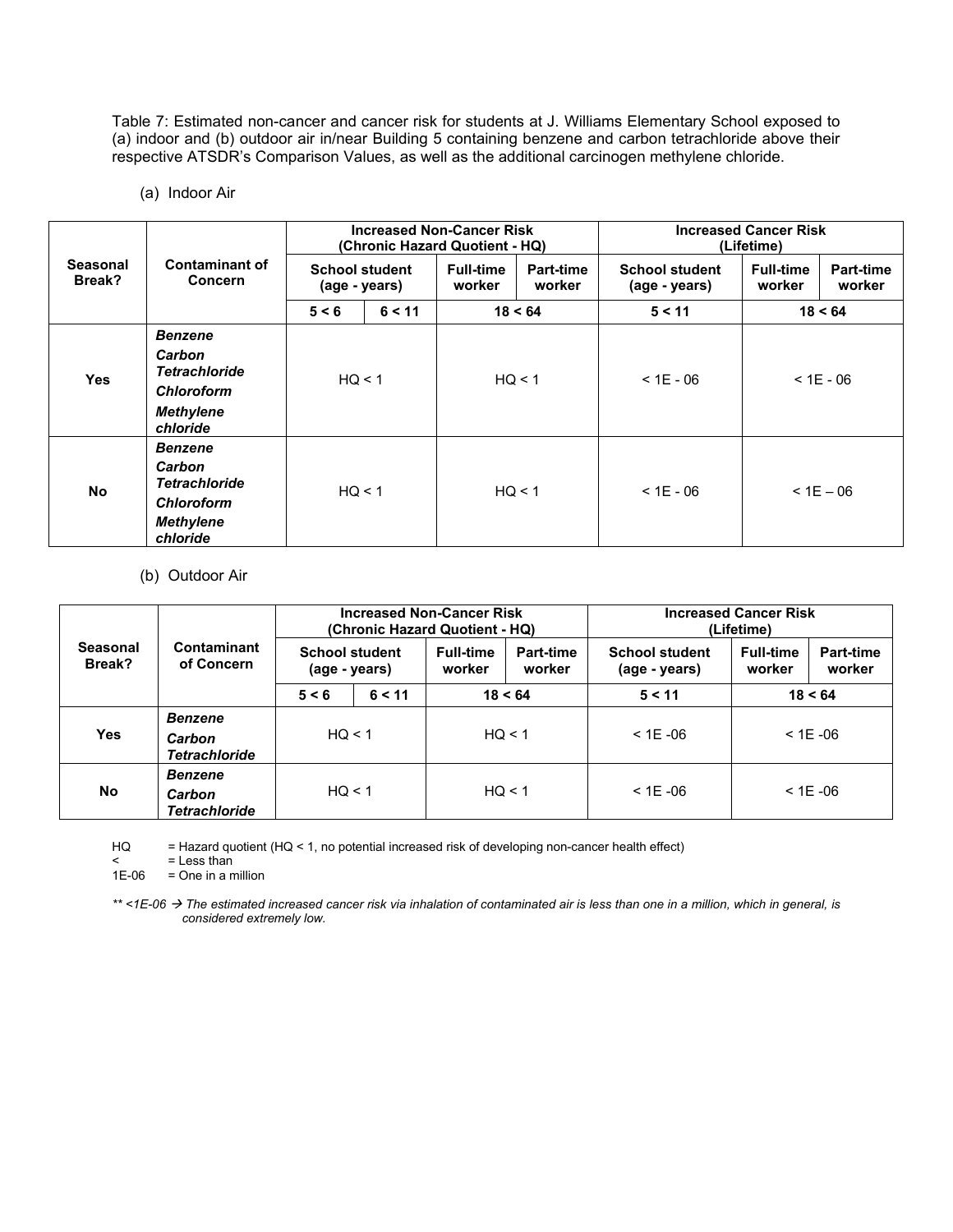Table 7: Estimated non-cancer and cancer risk for students at J. Williams Elementary School exposed to (a) indoor and (b) outdoor air in/near Building 5 containing benzene and carbon tetrachloride above their respective ATSDR's Comparison Values, as well as the additional carcinogen methylene chloride.

(a) Indoor Air

| <b>Seasonal</b><br>Break? |                                         |                                        |        | <b>Increased Non-Cancer Risk</b><br>(Chronic Hazard Quotient - HQ) |                            | <b>Increased Cancer Risk</b><br>(Lifetime) |                            |                            |  |
|---------------------------|-----------------------------------------|----------------------------------------|--------|--------------------------------------------------------------------|----------------------------|--------------------------------------------|----------------------------|----------------------------|--|
|                           | <b>Contaminant of</b><br><b>Concern</b> | <b>School student</b><br>(age - years) |        | <b>Full-time</b><br>worker                                         | <b>Part-time</b><br>worker | <b>School student</b><br>(age - years)     | <b>Full-time</b><br>worker | <b>Part-time</b><br>worker |  |
|                           |                                         | 6 < 11<br>5 < 6                        |        |                                                                    | 18 < 64                    | 5 < 11                                     | 18 < 64                    |                            |  |
|                           | <b>Benzene</b>                          |                                        |        |                                                                    |                            |                                            |                            |                            |  |
| <b>Yes</b>                | Carbon<br><b>Tetrachloride</b>          | HQ < 1                                 |        | HQ < 1                                                             |                            | $< 1E - 06$                                | $< 1E - 06$                |                            |  |
|                           | <b>Chloroform</b>                       |                                        |        |                                                                    |                            |                                            |                            |                            |  |
|                           | <b>Methylene</b><br>chloride            |                                        |        |                                                                    |                            |                                            |                            |                            |  |
|                           | <b>Benzene</b>                          |                                        |        |                                                                    |                            |                                            |                            |                            |  |
| No                        | Carbon<br><b>Tetrachloride</b>          |                                        |        |                                                                    | HQ < 1                     | $< 1E - 06$                                | $< 1E - 06$                |                            |  |
|                           | <b>Chloroform</b>                       |                                        | HQ < 1 |                                                                    |                            |                                            |                            |                            |  |
|                           | <b>Methylene</b><br>chloride            |                                        |        |                                                                    |                            |                                            |                            |                            |  |

(b) Outdoor Air

|                           |                                | <b>Increased Non-Cancer Risk</b><br>(Chronic Hazard Quotient - HQ) |  |                                                   |  | <b>Increased Cancer Risk</b><br>(Lifetime) |                            |                     |
|---------------------------|--------------------------------|--------------------------------------------------------------------|--|---------------------------------------------------|--|--------------------------------------------|----------------------------|---------------------|
| <b>Seasonal</b><br>Break? | Contaminant<br>of Concern      | <b>School student</b><br>(age - years)                             |  | <b>Full-time</b><br>Part-time<br>worker<br>worker |  | <b>School student</b><br>(age - years)     | <b>Full-time</b><br>worker | Part-time<br>worker |
|                           |                                | 6 < 11<br>18 < 64<br>5 < 6                                         |  | 5 < 11<br>18 < 64                                 |  |                                            |                            |                     |
|                           | <b>Benzene</b>                 | HQ < 1                                                             |  | HQ < 1                                            |  |                                            | $<$ 1E -06                 |                     |
| <b>Yes</b>                | Carbon<br><b>Tetrachloride</b> |                                                                    |  |                                                   |  | $<$ 1E -06                                 |                            |                     |
|                           | <b>Benzene</b>                 |                                                                    |  | HQ < 1                                            |  |                                            |                            |                     |
| <b>No</b>                 | Carbon<br><b>Tetrachloride</b> | HQ < 1                                                             |  |                                                   |  | $<$ 1E -06                                 | $<$ 1E -06                 |                     |

HQ = Hazard quotient (HQ < 1, no potential increased risk of developing non-cancer health effect)

 $\le$  = Less than<br>1E-06 = One in a n

= One in a million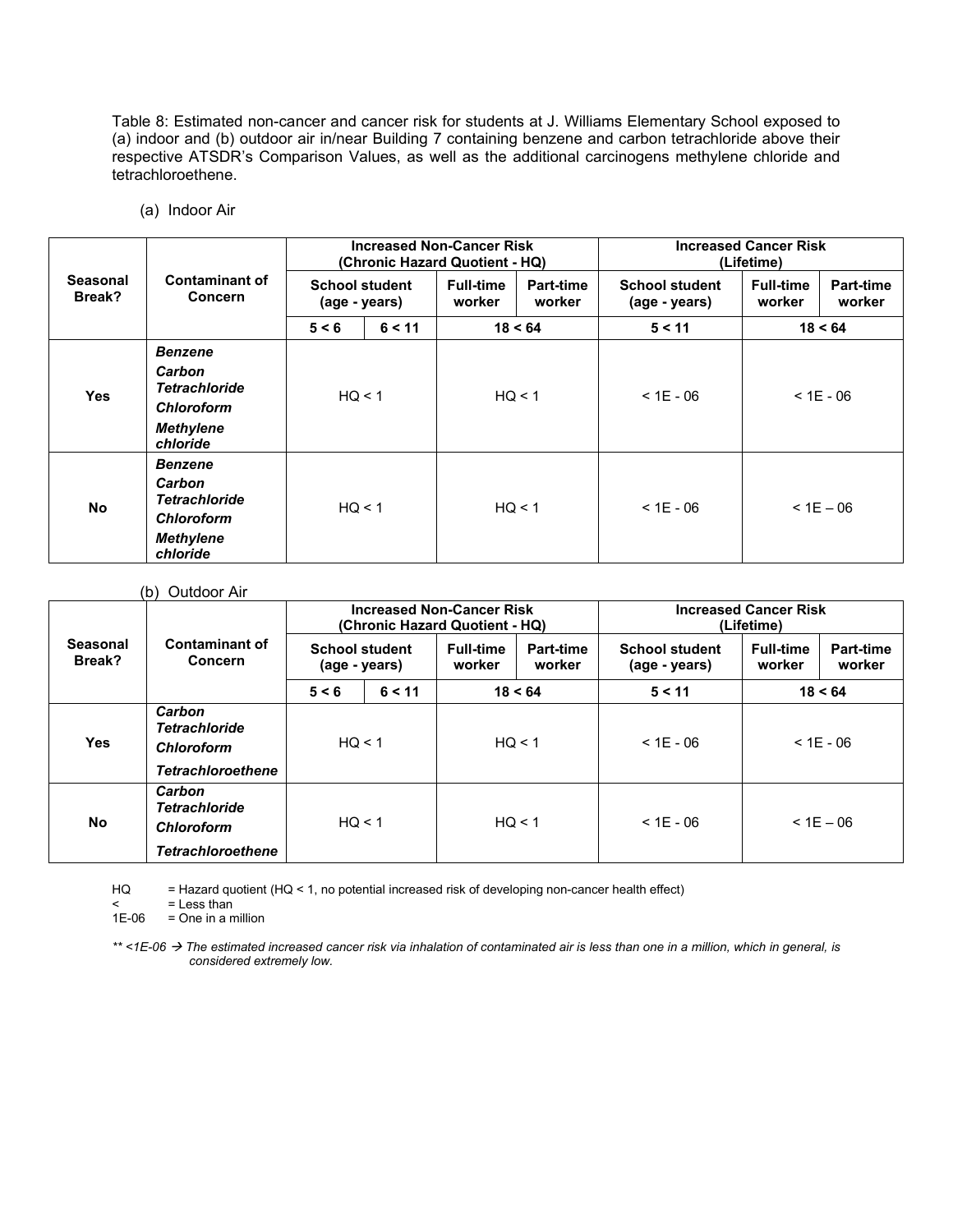Table 8: Estimated non-cancer and cancer risk for students at J. Williams Elementary School exposed to (a) indoor and (b) outdoor air in/near Building 7 containing benzene and carbon tetrachloride above their respective ATSDR's Comparison Values, as well as the additional carcinogens methylene chloride and tetrachloroethene.

(a) Indoor Air

|                           |                                                                                                       | <b>Increased Non-Cancer Risk</b><br>(Chronic Hazard Quotient - HQ) |  |                                                          |        | <b>Increased Cancer Risk</b><br>(Lifetime) |                            |                            |
|---------------------------|-------------------------------------------------------------------------------------------------------|--------------------------------------------------------------------|--|----------------------------------------------------------|--------|--------------------------------------------|----------------------------|----------------------------|
| <b>Seasonal</b><br>Break? | <b>Contaminant of</b><br><b>Concern</b>                                                               | <b>School student</b><br>(age - years)                             |  | <b>Full-time</b><br><b>Part-time</b><br>worker<br>worker |        | <b>School student</b><br>(age - years)     | <b>Full-time</b><br>worker | <b>Part-time</b><br>worker |
|                           |                                                                                                       | 5 < 6<br>6 < 11                                                    |  | 18 < 64                                                  |        | 5 < 11                                     | 18 < 64                    |                            |
| <b>Yes</b>                | <b>Benzene</b><br>Carbon<br><b>Tetrachloride</b><br><b>Chloroform</b><br><b>Methylene</b><br>chloride | HQ < 1                                                             |  |                                                          | HQ < 1 | $< 1E - 06$                                | $< 1E - 06$                |                            |
| <b>No</b>                 | <b>Benzene</b><br>Carbon<br><b>Tetrachloride</b><br><b>Chloroform</b><br><b>Methylene</b><br>chloride | HQ < 1                                                             |  | HQ < 1                                                   |        | $< 1E - 06$<br>$< 1E - 06$                 |                            |                            |

#### (b) Outdoor Air

|                           |                                                                                 | <b>Increased Non-Cancer Risk</b><br>(Chronic Hazard Quotient - HQ) |  |                            |                            | <b>Increased Cancer Risk</b><br>(Lifetime) |                            |                     |
|---------------------------|---------------------------------------------------------------------------------|--------------------------------------------------------------------|--|----------------------------|----------------------------|--------------------------------------------|----------------------------|---------------------|
| <b>Seasonal</b><br>Break? | <b>Contaminant of</b><br><b>Concern</b>                                         | <b>School student</b><br>(age - years)                             |  | <b>Full-time</b><br>worker | <b>Part-time</b><br>worker | <b>School student</b><br>(age - years)     | <b>Full-time</b><br>worker | Part-time<br>worker |
|                           |                                                                                 | 18 < 64<br>5 < 6<br>6 < 11                                         |  | 5 < 11<br>18 < 64          |                            |                                            |                            |                     |
| <b>Yes</b>                | Carbon<br><b>Tetrachloride</b><br>Chloroform<br><b>Tetrachloroethene</b>        | HQ < 1                                                             |  | HQ < 1                     |                            | $<$ 1E - 06<br>$<$ 1E - 06                 |                            |                     |
| No                        | Carbon<br><b>Tetrachloride</b><br><b>Chloroform</b><br><b>Tetrachloroethene</b> | HQ < 1                                                             |  | HQ < 1                     |                            | $<$ 1E - 06                                |                            | $< 1E - 06$         |

HQ = Hazard quotient (HQ < 1, no potential increased risk of developing non-cancer health effect)

 $\leq$  = Less than

 $1E-06$  = One in a million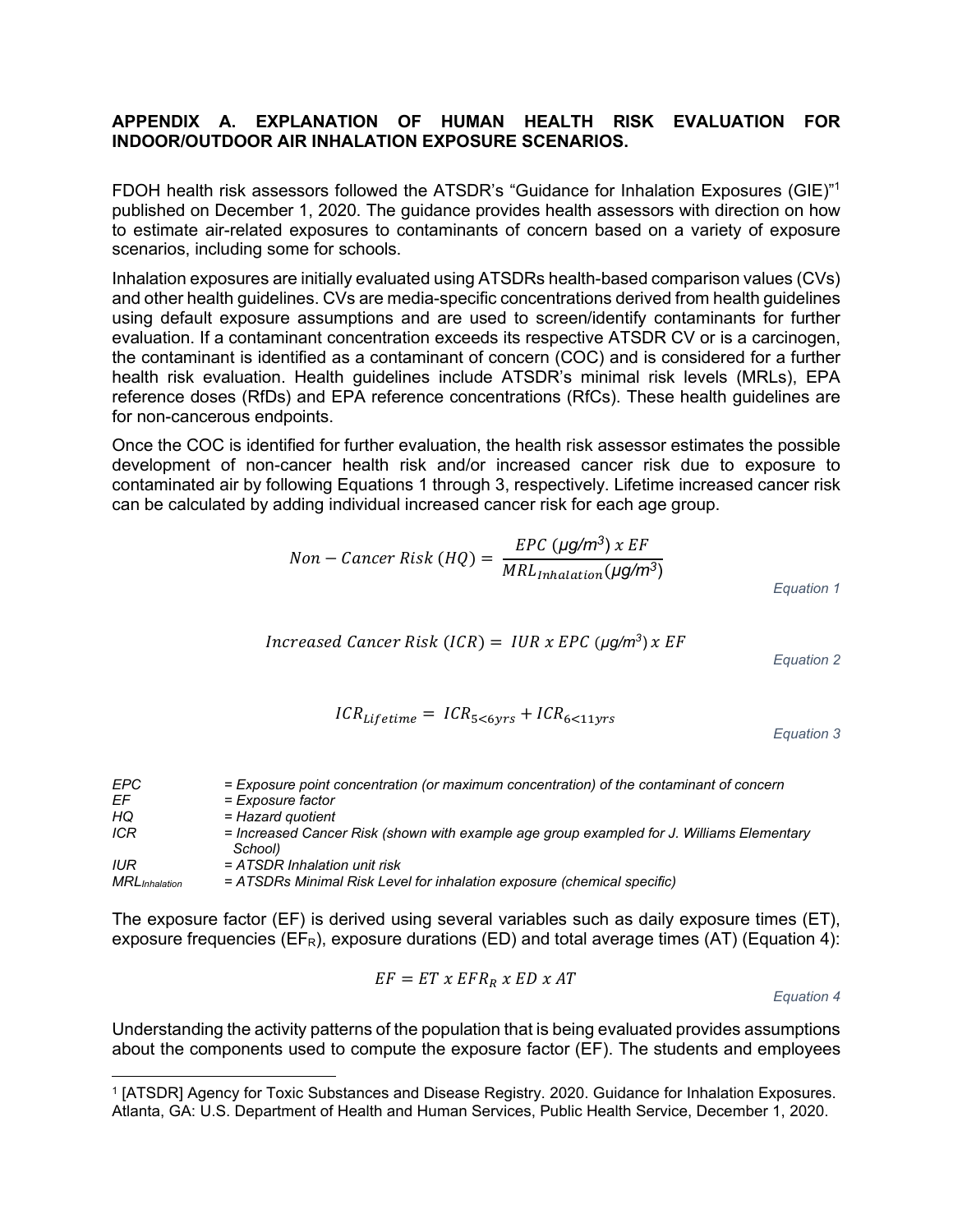#### **APPENDIX A. EXPLANATION OF HUMAN HEALTH RISK EVALUATION FOR INDOOR/OUTDOOR AIR INHALATION EXPOSURE SCENARIOS.**

FDOH health risk assessors followed the ATSDR's "Guidance for Inhalation Exposures (GIE)"<sup>1</sup> published on December 1, 2020. The guidance provides health assessors with direction on how to estimate air-related exposures to contaminants of concern based on a variety of exposure scenarios, including some for schools.

Inhalation exposures are initially evaluated using ATSDRs health-based comparison values (CVs) and other health guidelines. CVs are media-specific concentrations derived from health guidelines using default exposure assumptions and are used to screen/identify contaminants for further evaluation. If a contaminant concentration exceeds its respective ATSDR CV or is a carcinogen, the contaminant is identified as a contaminant of concern (COC) and is considered for a further health risk evaluation. Health guidelines include ATSDR's minimal risk levels (MRLs), EPA reference doses (RfDs) and EPA reference concentrations (RfCs). These health guidelines are for non-cancerous endpoints.

Once the COC is identified for further evaluation, the health risk assessor estimates the possible development of non-cancer health risk and/or increased cancer risk due to exposure to contaminated air by following Equations 1 through 3, respectively. Lifetime increased cancer risk can be calculated by adding individual increased cancer risk for each age group.

$$
Non-Cancer Risk (HQ) = \frac{EPC (µg/m^3) x EF}{MRL_{Inhalation} (µg/m^3)}
$$
  
Equation 1

$$
Increase d Cancer Risk (ICR) = IUR x EPC (µq/m3) x EF
$$

*Equation 2*

$$
ICR_{Lifetime} = ICR_{5<6yrs} + ICR_{6<11yrs}
$$

*Equation 3*

| EPC.                  | = Exposure point concentration (or maximum concentration) of the contaminant of concern              |
|-----------------------|------------------------------------------------------------------------------------------------------|
| EF                    | = Exposure factor                                                                                    |
| HQ                    | = Hazard quotient                                                                                    |
| <b>ICR</b>            | = Increased Cancer Risk (shown with example age group exampled for J. Williams Elementary<br>School) |
| IUR                   | $= ATSDR$ Inhalation unit risk                                                                       |
| <b>MRL</b> Inhalation | = ATSDRs Minimal Risk Level for inhalation exposure (chemical specific)                              |

The exposure factor (EF) is derived using several variables such as daily exposure times (ET), exposure frequencies ( $E_{R}$ ), exposure durations (ED) and total average times (AT) (Equation 4):

$$
EF = ET \times EFR_R \times ED \times AT
$$

*Equation 4*

Understanding the activity patterns of the population that is being evaluated provides assumptions about the components used to compute the exposure factor (EF). The students and employees

<sup>1</sup> [ATSDR] Agency for Toxic Substances and Disease Registry. 2020. Guidance for Inhalation Exposures. Atlanta, GA: U.S. Department of Health and Human Services, Public Health Service, December 1, 2020.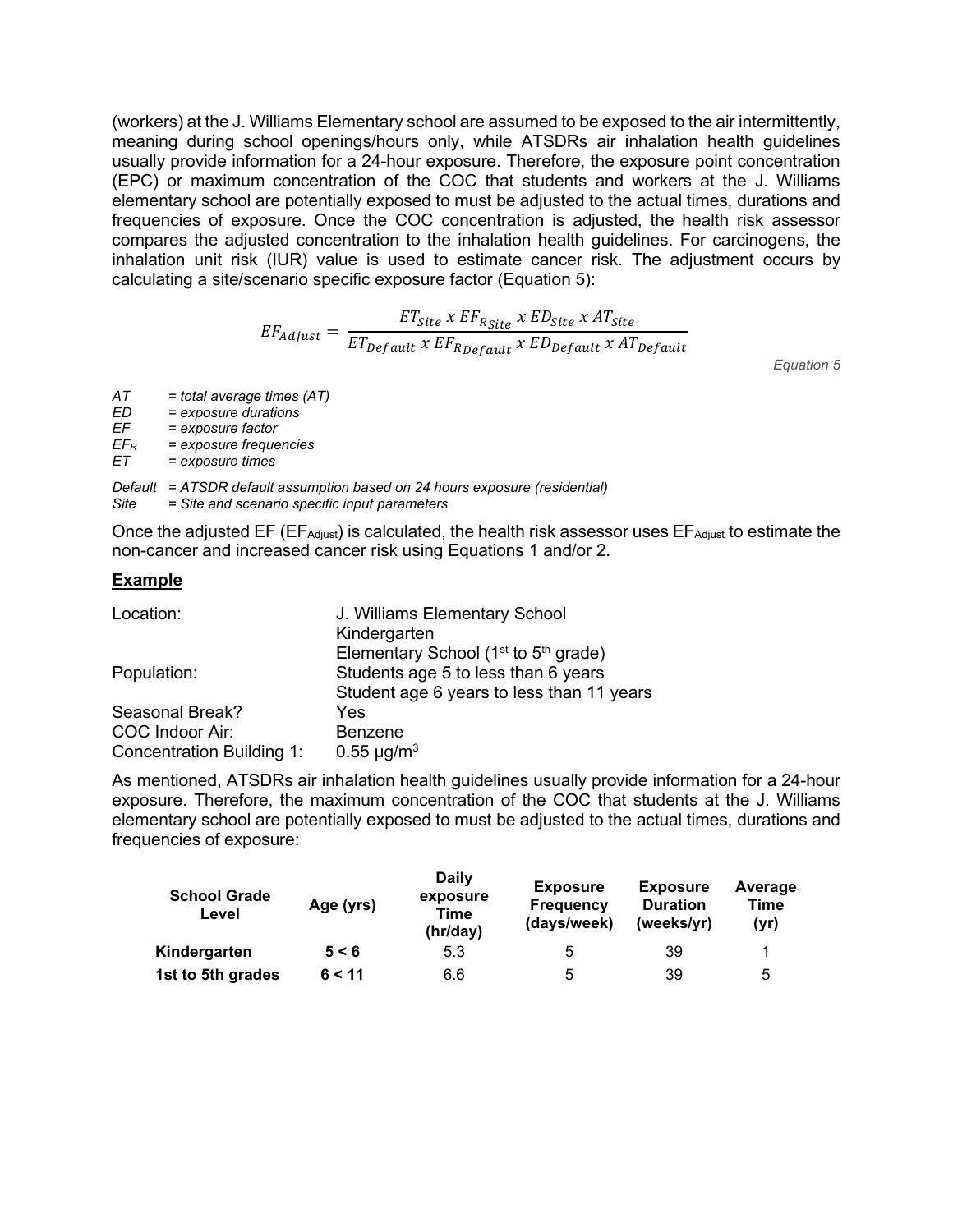(workers) at the J. Williams Elementary school are assumed to be exposed to the air intermittently, meaning during school openings/hours only, while ATSDRs air inhalation health guidelines usually provide information for a 24-hour exposure. Therefore, the exposure point concentration (EPC) or maximum concentration of the COC that students and workers at the J. Williams elementary school are potentially exposed to must be adjusted to the actual times, durations and frequencies of exposure. Once the COC concentration is adjusted, the health risk assessor compares the adjusted concentration to the inhalation health guidelines. For carcinogens, the inhalation unit risk (IUR) value is used to estimate cancer risk. The adjustment occurs by calculating a site/scenario specific exposure factor (Equation 5):

$$
EF_{Adjust} = \frac{ET_{Site} \times EF_{R Site} \times ED_{Site} \times AT_{Site}}{ET_{Default} \times EF_{Refault} \times ED_{Default} \times AT_{Default}}
$$

*Equation 5*

| АT | $=$ total average times (AT) |  |
|----|------------------------------|--|
|----|------------------------------|--|

*ED = exposure durations*

*EF = exposure factor* 

*EFR = exposure frequencies* 

 $=$  *exposure times* 

*Default = ATSDR default assumption based on 24 hours exposure (residential) Site = Site and scenario specific input parameters*

Once the adjusted EF ( $EF_{\text{Adiust}}$ ) is calculated, the health risk assessor uses  $EF_{\text{Adiust}}$  to estimate the non-cancer and increased cancer risk using Equations 1 and/or 2.

#### **Example**

| Location:                 | J. Williams Elementary School             |
|---------------------------|-------------------------------------------|
|                           | Kindergarten                              |
|                           | Elementary School ( $1st$ to $5th$ grade) |
| Population:               | Students age 5 to less than 6 years       |
|                           | Student age 6 years to less than 11 years |
| Seasonal Break?           | Yes                                       |
| COC Indoor Air:           | <b>Benzene</b>                            |
| Concentration Building 1: | $0.55 \mu g/m^3$                          |

As mentioned, ATSDRs air inhalation health guidelines usually provide information for a 24-hour exposure. Therefore, the maximum concentration of the COC that students at the J. Williams elementary school are potentially exposed to must be adjusted to the actual times, durations and frequencies of exposure:

| <b>School Grade</b><br>Level | Age (yrs) | <b>Daily</b><br>exposure<br>Time<br>(hr/day) | <b>Exposure</b><br><b>Frequency</b><br>(days/week) | <b>Exposure</b><br><b>Duration</b><br>(weeks/yr) | Average<br>Time<br>(yr) |
|------------------------------|-----------|----------------------------------------------|----------------------------------------------------|--------------------------------------------------|-------------------------|
| Kindergarten                 | 5 < 6     | 5.3                                          | 5                                                  | 39                                               |                         |
| 1st to 5th grades            | 6 < 11    | 6.6                                          | 5                                                  | 39                                               | 5                       |